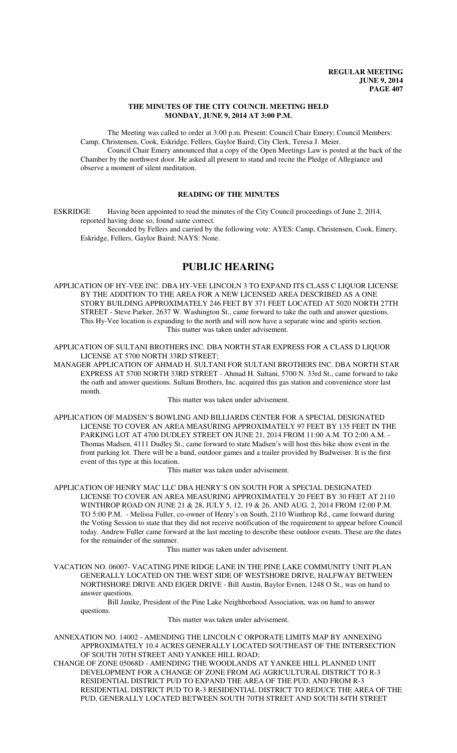## **THE MINUTES OF THE CITY COUNCIL MEETING HELD MONDAY, JUNE 9, 2014 AT 3:00 P.M.**

The Meeting was called to order at 3:00 p.m. Present: Council Chair Emery; Council Members: Camp, Christensen, Cook, Eskridge, Fellers, Gaylor Baird; City Clerk, Teresa J. Meier. Council Chair Emery announced that a copy of the Open Meetings Law is posted at the back of the

Chamber by the northwest door. He asked all present to stand and recite the Pledge of Allegiance and observe a moment of silent meditation.

## **READING OF THE MINUTES**

ESKRIDGE Having been appointed to read the minutes of the City Council proceedings of June 2, 2014, reported having done so, found same correct.

Seconded by Fellers and carried by the following vote: AYES: Camp, Christensen, Cook, Emery, Eskridge, Fellers, Gaylor Baird; NAYS: None.

# **PUBLIC HEARING**

APPLICATION OF HY-VEE INC. DBA HY-VEE LINCOLN 3 TO EXPAND ITS CLASS C LIQUOR LICENSE BY THE ADDITION TO THE AREA FOR A NEW LICENSED AREA DESCRIBED AS A ONE STORY BUILDING APPROXIMATELY 246 FEET BY 371 FEET LOCATED AT 5020 NORTH 27TH STREET - Steve Parker, 2637 W. Washington St., came forward to take the oath and answer questions. This Hy-Vee location is expanding to the north and will now have a separate wine and spirits section. This matter was taken under advisement.

APPLICATION OF SULTANI BROTHERS INC. DBA NORTH STAR EXPRESS FOR A CLASS D LIQUOR LICENSE AT 5700 NORTH 33RD STREET;

MANAGER APPLICATION OF AHMAD H. SULTANI FOR SULTANI BROTHERS INC. DBA NORTH STAR EXPRESS AT 5700 NORTH 33RD STREET - Ahmad H. Sultani, 5700 N. 33rd St., came forward to take the oath and answer questions. Sultani Brothers, Inc. acquired this gas station and convenience store last month.

This matter was taken under advisement.

APPLICATION OF MADSEN'S BOWLING AND BILLIARDS CENTER FOR A SPECIAL DESIGNATED LICENSE TO COVER AN AREA MEASURING APPROXIMATELY 97 FEET BY 135 FEET IN THE PARKING LOT AT 4700 DUDLEY STREET ON JUNE 21, 2014 FROM 11:00 A.M. TO 2:00 A.M. - Thomas Madsen, 4111 Dudley St., came forward to state Madsen's will host this bike show event in the front parking lot. There will be a band, outdoor games and a trailer provided by Budweiser. It is the first event of this type at this location.

This matter was taken under advisement.

APPLICATION OF HENRY MAC LLC DBA HENRY'S ON SOUTH FOR A SPECIAL DESIGNATED LICENSE TO COVER AN AREA MEASURING APPROXIMATELY 20 FEET BY 30 FEET AT 2110 WINTHROP ROAD ON JUNE 21 & 28, JULY 5, 12, 19 & 26, AND AUG. 2, 2014 FROM 12:00 P.M. TO 5:00 P.M. - Melissa Fuller, co-owner of Henry's on South, 2110 Winthrop Rd., came forward during the Voting Session to state that they did not receive notification of the requirement to appear before Council today. Andrew Fuller came forward at the last meeting to describe these outdoor events. These are the dates for the remainder of the summer.

This matter was taken under advisement.

VACATION NO. 06007- VACATING PINE RIDGE LANE IN THE PINE LAKE COMMUNITY UNIT PLAN GENERALLY LOCATED ON THE WEST SIDE OF WESTSHORE DRIVE, HALFWAY BETWEEN NORTHSHORE DRIVE AND EIGER DRIVE - Bill Austin, Baylor Evnen, 1248 O St., was on hand to answer questions.

Bill Janike, President of the Pine Lake Neighborhood Association, was on hand to answer questions.

This matter was taken under advisement.

ANNEXATION NO. 14002 - AMENDING THE LINCOLN C ORPORATE LIMITS MAP BY ANNEXING APPROXIMATELY 10.4 ACRES GENERALLY LOCATED SOUTHEAST OF THE INTERSECTION OF SOUTH 70TH STREET AND YANKEE HILL ROAD;

CHANGE OF ZONE 05068D - AMENDING THE WOODLANDS AT YANKEE HILL PLANNED UNIT DEVELOPMENT FOR A CHANGE OF ZONE FROM AG AGRICULTURAL DISTRICT TO R-3 RESIDENTIAL DISTRICT PUD TO EXPAND THE AREA OF THE PUD, AND FROM R-3 RESIDENTIAL DISTRICT PUD TO R-3 RESIDENTIAL DISTRICT TO REDUCE THE AREA OF THE PUD, GENERALLY LOCATED BETWEEN SOUTH 70TH STREET AND SOUTH 84TH STREET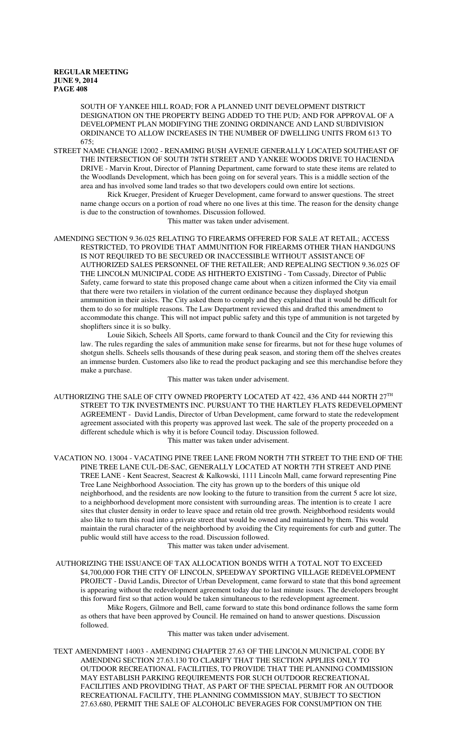SOUTH OF YANKEE HILL ROAD; FOR A PLANNED UNIT DEVELOPMENT DISTRICT DESIGNATION ON THE PROPERTY BEING ADDED TO THE PUD; AND FOR APPROVAL OF A DEVELOPMENT PLAN MODIFYING THE ZONING ORDINANCE AND LAND SUBDIVISION ORDINANCE TO ALLOW INCREASES IN THE NUMBER OF DWELLING UNITS FROM 613 TO 675;

STREET NAME CHANGE 12002 - RENAMING BUSH AVENUE GENERALLY LOCATED SOUTHEAST OF THE INTERSECTION OF SOUTH 78TH STREET AND YANKEE WOODS DRIVE TO HACIENDA DRIVE - Marvin Krout, Director of Planning Department, came forward to state these items are related to the Woodlands Development, which has been going on for several years. This is a middle section of the area and has involved some land trades so that two developers could own entire lot sections.

Rick Krueger, President of Krueger Development, came forward to answer questions. The street name change occurs on a portion of road where no one lives at this time. The reason for the density change is due to the construction of townhomes. Discussion followed.

This matter was taken under advisement.

AMENDING SECTION 9.36.025 RELATING TO FIREARMS OFFERED FOR SALE AT RETAIL; ACCESS RESTRICTED, TO PROVIDE THAT AMMUNITION FOR FIREARMS OTHER THAN HANDGUNS IS NOT REQUIRED TO BE SECURED OR INACCESSIBLE WITHOUT ASSISTANCE OF AUTHORIZED SALES PERSONNEL OF THE RETAILER; AND REPEALING SECTION 9.36.025 OF THE LINCOLN MUNICIPAL CODE AS HITHERTO EXISTING - Tom Cassady, Director of Public Safety, came forward to state this proposed change came about when a citizen informed the City via email that there were two retailers in violation of the current ordinance because they displayed shotgun ammunition in their aisles. The City asked them to comply and they explained that it would be difficult for them to do so for multiple reasons. The Law Department reviewed this and drafted this amendment to accommodate this change. This will not impact public safety and this type of ammunition is not targeted by shoplifters since it is so bulky.

Louie Sikich, Scheels All Sports, came forward to thank Council and the City for reviewing this law. The rules regarding the sales of ammunition make sense for firearms, but not for these huge volumes of shotgun shells. Scheels sells thousands of these during peak season, and storing them off the shelves creates an immense burden. Customers also like to read the product packaging and see this merchandise before they make a purchase.

This matter was taken under advisement.

AUTHORIZING THE SALE OF CITY OWNED PROPERTY LOCATED AT 422, 436 AND 444 NORTH 27TH STREET TO TJK INVESTMENTS INC. PURSUANT TO THE HARTLEY FLATS REDEVELOPMENT AGREEMENT - David Landis, Director of Urban Development, came forward to state the redevelopment agreement associated with this property was approved last week. The sale of the property proceeded on a different schedule which is why it is before Council today. Discussion followed. This matter was taken under advisement.

VACATION NO. 13004 - VACATING PINE TREE LANE FROM NORTH 7TH STREET TO THE END OF THE PINE TREE LANE CUL-DE-SAC, GENERALLY LOCATED AT NORTH 7TH STREET AND PINE TREE LANE - Kent Seacrest, Seacrest & Kalkowski, 1111 Lincoln Mall, came forward representing Pine Tree Lane Neighborhood Association. The city has grown up to the borders of this unique old neighborhood, and the residents are now looking to the future to transition from the current 5 acre lot size, to a neighborhood development more consistent with surrounding areas. The intention is to create 1 acre sites that cluster density in order to leave space and retain old tree growth. Neighborhood residents would also like to turn this road into a private street that would be owned and maintained by them. This would maintain the rural character of the neighborhood by avoiding the City requirements for curb and gutter. The public would still have access to the road. Discussion followed.

This matter was taken under advisement.

 AUTHORIZING THE ISSUANCE OF TAX ALLOCATION BONDS WITH A TOTAL NOT TO EXCEED \$4,700,000 FOR THE CITY OF LINCOLN, SPEEDWAY SPORTING VILLAGE REDEVELOPMENT PROJECT - David Landis, Director of Urban Development, came forward to state that this bond agreement is appearing without the redevelopment agreement today due to last minute issues. The developers brought this forward first so that action would be taken simultaneous to the redevelopment agreement.

Mike Rogers, Gilmore and Bell, came forward to state this bond ordinance follows the same form as others that have been approved by Council. He remained on hand to answer questions. Discussion followed.

This matter was taken under advisement.

TEXT AMENDMENT 14003 - AMENDING CHAPTER 27.63 OF THE LINCOLN MUNICIPAL CODE BY AMENDING SECTION 27.63.130 TO CLARIFY THAT THE SECTION APPLIES ONLY TO OUTDOOR RECREATIONAL FACILITIES, TO PROVIDE THAT THE PLANNING COMMISSION MAY ESTABLISH PARKING REQUIREMENTS FOR SUCH OUTDOOR RECREATIONAL FACILITIES AND PROVIDING THAT, AS PART OF THE SPECIAL PERMIT FOR AN OUTDOOR RECREATIONAL FACILITY, THE PLANNING COMMISSION MAY, SUBJECT TO SECTION 27.63.680, PERMIT THE SALE OF ALCOHOLIC BEVERAGES FOR CONSUMPTION ON THE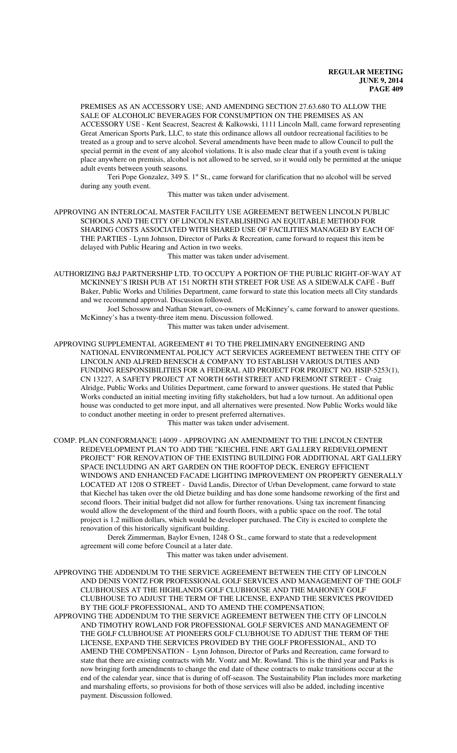PREMISES AS AN ACCESSORY USE; AND AMENDING SECTION 27.63.680 TO ALLOW THE SALE OF ALCOHOLIC BEVERAGES FOR CONSUMPTION ON THE PREMISES AS AN ACCESSORY USE - Kent Seacrest, Seacrest & Kalkowski, 1111 Lincoln Mall, came forward representing Great American Sports Park, LLC, to state this ordinance allows all outdoor recreational facilities to be treated as a group and to serve alcohol. Several amendments have been made to allow Council to pull the special permit in the event of any alcohol violations. It is also made clear that if a youth event is taking place anywhere on premisis, alcohol is not allowed to be served, so it would only be permitted at the unique adult events between youth seasons.

Teri Pope Gonzalez, 349 S.  $1<sup>st</sup>$  St., came forward for clarification that no alcohol will be served during any youth event.

This matter was taken under advisement.

APPROVING AN INTERLOCAL MASTER FACILITY USE AGREEMENT BETWEEN LINCOLN PUBLIC SCHOOLS AND THE CITY OF LINCOLN ESTABLISHING AN EQUITABLE METHOD FOR SHARING COSTS ASSOCIATED WITH SHARED USE OF FACILITIES MANAGED BY EACH OF THE PARTIES - Lynn Johnson, Director of Parks & Recreation, came forward to request this item be delayed with Public Hearing and Action in two weeks.

This matter was taken under advisement.

AUTHORIZING B&J PARTNERSHIP LTD. TO OCCUPY A PORTION OF THE PUBLIC RIGHT-OF-WAY AT MCKINNEY'S IRISH PUB AT 151 NORTH 8TH STREET FOR USE AS A SIDEWALK CAFÉ - Buff Baker, Public Works and Utilities Department, came forward to state this location meets all City standards and we recommend approval. Discussion followed.

Joel Schossow and Nathan Stewart, co-owners of McKinney's, came forward to answer questions. McKinney's has a twenty-three item menu. Discussion followed.

This matter was taken under advisement.

APPROVING SUPPLEMENTAL AGREEMENT #1 TO THE PRELIMINARY ENGINEERING AND NATIONAL ENVIRONMENTAL POLICY ACT SERVICES AGREEMENT BETWEEN THE CITY OF LINCOLN AND ALFRED BENESCH & COMPANY TO ESTABLISH VARIOUS DUTIES AND FUNDING RESPONSIBILITIES FOR A FEDERAL AID PROJECT FOR PROJECT NO. HSIP-5253(1), CN 13227, A SAFETY PROJECT AT NORTH 66TH STREET AND FREMONT STREET - Craig Alridge, Public Works and Utilities Department, came forward to answer questions. He stated that Public Works conducted an initial meeting inviting fifty stakeholders, but had a low turnout. An additional open house was conducted to get more input, and all alternatives were presented. Now Public Works would like to conduct another meeting in order to present preferred alternatives.

This matter was taken under advisement.

COMP. PLAN CONFORMANCE 14009 - APPROVING AN AMENDMENT TO THE LINCOLN CENTER REDEVELOPMENT PLAN TO ADD THE "KIECHEL FINE ART GALLERY REDEVELOPMENT PROJECT" FOR RENOVATION OF THE EXISTING BUILDING FOR ADDITIONAL ART GALLERY SPACE INCLUDING AN ART GARDEN ON THE ROOFTOP DECK, ENERGY EFFICIENT WINDOWS AND ENHANCED FACADE LIGHTING IMPROVEMENT ON PROPERTY GENERALLY LOCATED AT 1208 O STREET - David Landis, Director of Urban Development, came forward to state that Kiechel has taken over the old Dietze building and has done some handsome reworking of the first and second floors. Their initial budget did not allow for further renovations. Using tax increment financing would allow the development of the third and fourth floors, with a public space on the roof. The total project is 1.2 million dollars, which would be developer purchased. The City is excited to complete the renovation of this historically significant building.

Derek Zimmerman, Baylor Evnen, 1248 O St., came forward to state that a redevelopment agreement will come before Council at a later date.

This matter was taken under advisement.

APPROVING THE ADDENDUM TO THE SERVICE AGREEMENT BETWEEN THE CITY OF LINCOLN AND DENIS VONTZ FOR PROFESSIONAL GOLF SERVICES AND MANAGEMENT OF THE GOLF CLUBHOUSES AT THE HIGHLANDS GOLF CLUBHOUSE AND THE MAHONEY GOLF CLUBHOUSE TO ADJUST THE TERM OF THE LICENSE, EXPAND THE SERVICES PROVIDED BY THE GOLF PROFESSIONAL, AND TO AMEND THE COMPENSATION;

APPROVING THE ADDENDUM TO THE SERVICE AGREEMENT BETWEEN THE CITY OF LINCOLN AND TIMOTHY ROWLAND FOR PROFESSIONAL GOLF SERVICES AND MANAGEMENT OF THE GOLF CLUBHOUSE AT PIONEERS GOLF CLUBHOUSE TO ADJUST THE TERM OF THE LICENSE, EXPAND THE SERVICES PROVIDED BY THE GOLF PROFESSIONAL, AND TO AMEND THE COMPENSATION - Lynn Johnson, Director of Parks and Recreation, came forward to state that there are existing contracts with Mr. Vontz and Mr. Rowland. This is the third year and Parks is now bringing forth amendments to change the end date of these contracts to make transitions occur at the end of the calendar year, since that is during of off-season. The Sustainability Plan includes more marketing and marshaling efforts, so provisions for both of those services will also be added, including incentive payment. Discussion followed.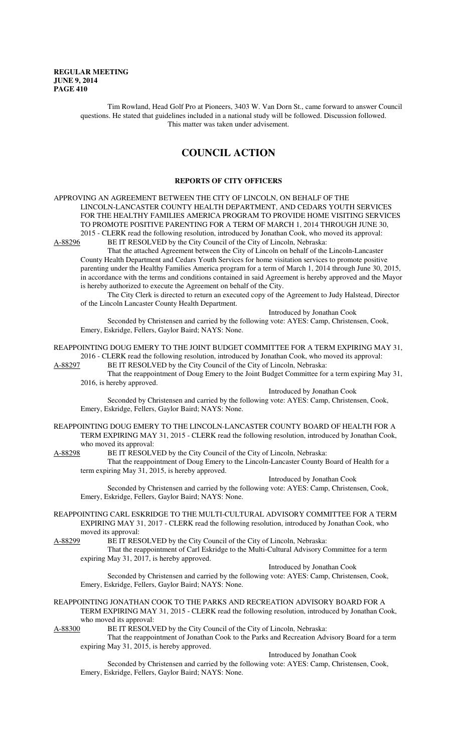Tim Rowland, Head Golf Pro at Pioneers, 3403 W. Van Dorn St., came forward to answer Council questions. He stated that guidelines included in a national study will be followed. Discussion followed. This matter was taken under advisement.

# **COUNCIL ACTION**

## **REPORTS OF CITY OFFICERS**

APPROVING AN AGREEMENT BETWEEN THE CITY OF LINCOLN, ON BEHALF OF THE LINCOLN-LANCASTER COUNTY HEALTH DEPARTMENT, AND CEDARS YOUTH SERVICES FOR THE HEALTHY FAMILIES AMERICA PROGRAM TO PROVIDE HOME VISITING SERVICES TO PROMOTE POSITIVE PARENTING FOR A TERM OF MARCH 1, 2014 THROUGH JUNE 30, 2015 - CLERK read the following resolution, introduced by Jonathan Cook, who moved its approval:<br>A-88296 BE IT RESOLVED by the City Council of the City of Lincoln, Nebraska: BE IT RESOLVED by the City Council of the City of Lincoln, Nebraska:

That the attached Agreement between the City of Lincoln on behalf of the Lincoln-Lancaster County Health Department and Cedars Youth Services for home visitation services to promote positive parenting under the Healthy Families America program for a term of March 1, 2014 through June 30, 2015, in accordance with the terms and conditions contained in said Agreement is hereby approved and the Mayor is hereby authorized to execute the Agreement on behalf of the City.

The City Clerk is directed to return an executed copy of the Agreement to Judy Halstead, Director of the Lincoln Lancaster County Health Department.

Introduced by Jonathan Cook

Seconded by Christensen and carried by the following vote: AYES: Camp, Christensen, Cook, Emery, Eskridge, Fellers, Gaylor Baird; NAYS: None.

REAPPOINTING DOUG EMERY TO THE JOINT BUDGET COMMITTEE FOR A TERM EXPIRING MAY 31, 2016 - CLERK read the following resolution, introduced by Jonathan Cook, who moved its approval:

A-88297 BE IT RESOLVED by the City Council of the City of Lincoln, Nebraska:

That the reappointment of Doug Emery to the Joint Budget Committee for a term expiring May 31, 2016, is hereby approved. Introduced by Jonathan Cook

Seconded by Christensen and carried by the following vote: AYES: Camp, Christensen, Cook, Emery, Eskridge, Fellers, Gaylor Baird; NAYS: None.

REAPPOINTING DOUG EMERY TO THE LINCOLN-LANCASTER COUNTY BOARD OF HEALTH FOR A TERM EXPIRING MAY 31, 2015 - CLERK read the following resolution, introduced by Jonathan Cook, who moved its approval:

A-88298 BE IT RESOLVED by the City Council of the City of Lincoln, Nebraska:

That the reappointment of Doug Emery to the Lincoln-Lancaster County Board of Health for a term expiring May 31, 2015, is hereby approved.

Introduced by Jonathan Cook

Seconded by Christensen and carried by the following vote: AYES: Camp, Christensen, Cook, Emery, Eskridge, Fellers, Gaylor Baird; NAYS: None.

REAPPOINTING CARL ESKRIDGE TO THE MULTI-CULTURAL ADVISORY COMMITTEE FOR A TERM EXPIRING MAY 31, 2017 - CLERK read the following resolution, introduced by Jonathan Cook, who moved its approval:

A-88299 BE IT RESOLVED by the City Council of the City of Lincoln, Nebraska:

That the reappointment of Carl Eskridge to the Multi-Cultural Advisory Committee for a term expiring May 31, 2017, is hereby approved.

Introduced by Jonathan Cook

Seconded by Christensen and carried by the following vote: AYES: Camp, Christensen, Cook, Emery, Eskridge, Fellers, Gaylor Baird; NAYS: None.

# REAPPOINTING JONATHAN COOK TO THE PARKS AND RECREATION ADVISORY BOARD FOR A TERM EXPIRING MAY 31, 2015 - CLERK read the following resolution, introduced by Jonathan Cook,

who moved its approval:<br>A-88300 BE IT RESOLV

BE IT RESOLVED by the City Council of the City of Lincoln, Nebraska: That the reappointment of Jonathan Cook to the Parks and Recreation Advisory Board for a term expiring May 31, 2015, is hereby approved.

Introduced by Jonathan Cook

Seconded by Christensen and carried by the following vote: AYES: Camp, Christensen, Cook, Emery, Eskridge, Fellers, Gaylor Baird; NAYS: None.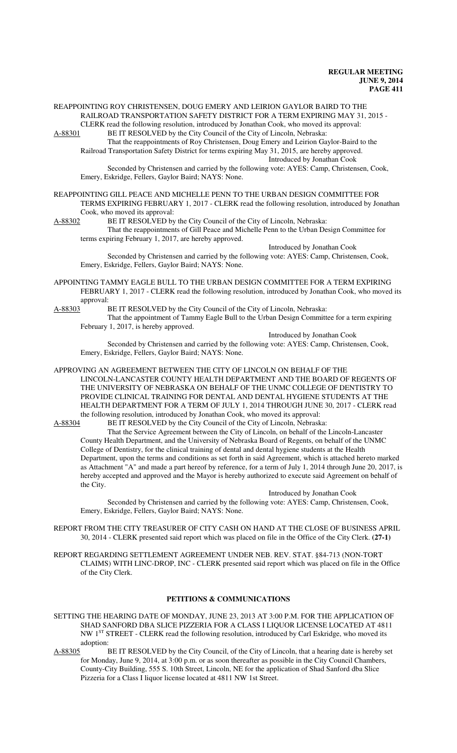REAPPOINTING ROY CHRISTENSEN, DOUG EMERY AND LEIRION GAYLOR BAIRD TO THE RAILROAD TRANSPORTATION SAFETY DISTRICT FOR A TERM EXPIRING MAY 31, 2015 - CLERK read the following resolution, introduced by Jonathan Cook, who moved its approval:<br>A-88301 BE IT RESOLVED by the City Council of the City of Lincoln, Nebraska:

BE IT RESOLVED by the City Council of the City of Lincoln, Nebraska: That the reappointments of Roy Christensen, Doug Emery and Leirion Gaylor-Baird to the Railroad Transportation Safety District for terms expiring May 31, 2015, are hereby approved. Introduced by Jonathan Cook

Seconded by Christensen and carried by the following vote: AYES: Camp, Christensen, Cook, Emery, Eskridge, Fellers, Gaylor Baird; NAYS: None.

- REAPPOINTING GILL PEACE AND MICHELLE PENN TO THE URBAN DESIGN COMMITTEE FOR TERMS EXPIRING FEBRUARY 1, 2017 - CLERK read the following resolution, introduced by Jonathan Cook, who moved its approval:
- A-88302 BE IT RESOLVED by the City Council of the City of Lincoln, Nebraska: That the reappointments of Gill Peace and Michelle Penn to the Urban Design Committee for terms expiring February 1, 2017, are hereby approved.

Introduced by Jonathan Cook Seconded by Christensen and carried by the following vote: AYES: Camp, Christensen, Cook, Emery, Eskridge, Fellers, Gaylor Baird; NAYS: None.

- APPOINTING TAMMY EAGLE BULL TO THE URBAN DESIGN COMMITTEE FOR A TERM EXPIRING FEBRUARY 1, 2017 - CLERK read the following resolution, introduced by Jonathan Cook, who moved its approval:
- A-88303 BE IT RESOLVED by the City Council of the City of Lincoln, Nebraska:
	- That the appointment of Tammy Eagle Bull to the Urban Design Committee for a term expiring February 1, 2017, is hereby approved.

Introduced by Jonathan Cook

Seconded by Christensen and carried by the following vote: AYES: Camp, Christensen, Cook, Emery, Eskridge, Fellers, Gaylor Baird; NAYS: None.

APPROVING AN AGREEMENT BETWEEN THE CITY OF LINCOLN ON BEHALF OF THE LINCOLN-LANCASTER COUNTY HEALTH DEPARTMENT AND THE BOARD OF REGENTS OF THE UNIVERSITY OF NEBRASKA ON BEHALF OF THE UNMC COLLEGE OF DENTISTRY TO PROVIDE CLINICAL TRAINING FOR DENTAL AND DENTAL HYGIENE STUDENTS AT THE HEALTH DEPARTMENT FOR A TERM OF JULY 1, 2014 THROUGH JUNE 30, 2017 - CLERK read the following resolution, introduced by Jonathan Cook, who moved its approval:

A-88304 BE IT RESOLVED by the City Council of the City of Lincoln, Nebraska:

That the Service Agreement between the City of Lincoln, on behalf of the Lincoln-Lancaster County Health Department, and the University of Nebraska Board of Regents, on behalf of the UNMC College of Dentistry, for the clinical training of dental and dental hygiene students at the Health Department, upon the terms and conditions as set forth in said Agreement, which is attached hereto marked as Attachment "A" and made a part hereof by reference, for a term of July 1, 2014 through June 20, 2017, is hereby accepted and approved and the Mayor is hereby authorized to execute said Agreement on behalf of the City.

Introduced by Jonathan Cook Seconded by Christensen and carried by the following vote: AYES: Camp, Christensen, Cook,

Emery, Eskridge, Fellers, Gaylor Baird; NAYS: None.

- REPORT FROM THE CITY TREASURER OF CITY CASH ON HAND AT THE CLOSE OF BUSINESS APRIL 30, 2014 - CLERK presented said report which was placed on file in the Office of the City Clerk. **(27-1)**
- REPORT REGARDING SETTLEMENT AGREEMENT UNDER NEB. REV. STAT. §84-713 (NON-TORT CLAIMS) WITH LINC-DROP, INC - CLERK presented said report which was placed on file in the Office of the City Clerk.

## **PETITIONS & COMMUNICATIONS**

SETTING THE HEARING DATE OF MONDAY, JUNE 23, 2013 AT 3:00 P.M. FOR THE APPLICATION OF SHAD SANFORD DBA SLICE PIZZERIA FOR A CLASS I LIQUOR LICENSE LOCATED AT 4811 NW 1<sup>ST</sup> STREET - CLERK read the following resolution, introduced by Carl Eskridge, who moved its adoption:<br>A-88305 I

BE IT RESOLVED by the City Council, of the City of Lincoln, that a hearing date is hereby set for Monday, June 9, 2014, at 3:00 p.m. or as soon thereafter as possible in the City Council Chambers, County-City Building, 555 S. 10th Street, Lincoln, NE for the application of Shad Sanford dba Slice Pizzeria for a Class I liquor license located at 4811 NW 1st Street.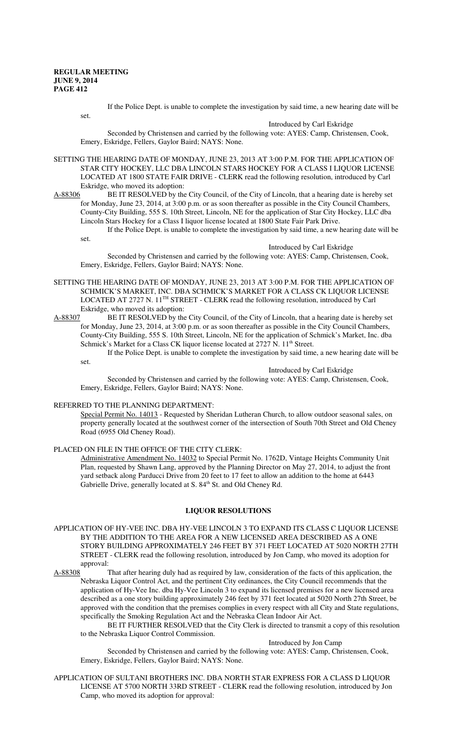If the Police Dept. is unable to complete the investigation by said time, a new hearing date will be

set.

#### Introduced by Carl Eskridge

Seconded by Christensen and carried by the following vote: AYES: Camp, Christensen, Cook, Emery, Eskridge, Fellers, Gaylor Baird; NAYS: None.

SETTING THE HEARING DATE OF MONDAY, JUNE 23, 2013 AT 3:00 P.M. FOR THE APPLICATION OF STAR CITY HOCKEY, LLC DBA LINCOLN STARS HOCKEY FOR A CLASS I LIQUOR LICENSE LOCATED AT 1800 STATE FAIR DRIVE - CLERK read the following resolution, introduced by Carl Eskridge, who moved its adoption:

A-88306 BE IT RESOLVED by the City Council, of the City of Lincoln, that a hearing date is hereby set for Monday, June 23, 2014, at 3:00 p.m. or as soon thereafter as possible in the City Council Chambers, County-City Building, 555 S. 10th Street, Lincoln, NE for the application of Star City Hockey, LLC dba Lincoln Stars Hockey for a Class I liquor license located at 1800 State Fair Park Drive.

If the Police Dept. is unable to complete the investigation by said time, a new hearing date will be set.

#### Introduced by Carl Eskridge

Seconded by Christensen and carried by the following vote: AYES: Camp, Christensen, Cook, Emery, Eskridge, Fellers, Gaylor Baird; NAYS: None.

SETTING THE HEARING DATE OF MONDAY, JUNE 23, 2013 AT 3:00 P.M. FOR THE APPLICATION OF SCHMICK'S MARKET, INC. DBA SCHMICK'S MARKET FOR A CLASS CK LIQUOR LICENSE LOCATED AT 2727 N. 11TH STREET - CLERK read the following resolution, introduced by Carl Eskridge, who moved its adoption:

A-88307 BE IT RESOLVED by the City Council, of the City of Lincoln, that a hearing date is hereby set for Monday, June 23, 2014, at 3:00 p.m. or as soon thereafter as possible in the City Council Chambers, County-City Building, 555 S. 10th Street, Lincoln, NE for the application of Schmick's Market, Inc. dba Schmick's Market for a Class CK liquor license located at 2727 N. 11<sup>th</sup> Street.

If the Police Dept. is unable to complete the investigation by said time, a new hearing date will be

set.

#### Introduced by Carl Eskridge

Seconded by Christensen and carried by the following vote: AYES: Camp, Christensen, Cook, Emery, Eskridge, Fellers, Gaylor Baird; NAYS: None.

## REFERRED TO THE PLANNING DEPARTMENT:

Special Permit No. 14013 - Requested by Sheridan Lutheran Church, to allow outdoor seasonal sales, on property generally located at the southwest corner of the intersection of South 70th Street and Old Cheney Road (6955 Old Cheney Road).

#### PLACED ON FILE IN THE OFFICE OF THE CITY CLERK:

Administrative Amendment No. 14032 to Special Permit No. 1762D, Vintage Heights Community Unit Plan, requested by Shawn Lang, approved by the Planning Director on May 27, 2014, to adjust the front yard setback along Parducci Drive from 20 feet to 17 feet to allow an addition to the home at 6443 Gabrielle Drive, generally located at S. 84<sup>th</sup> St. and Old Cheney Rd.

## **LIQUOR RESOLUTIONS**

APPLICATION OF HY-VEE INC. DBA HY-VEE LINCOLN 3 TO EXPAND ITS CLASS C LIQUOR LICENSE BY THE ADDITION TO THE AREA FOR A NEW LICENSED AREA DESCRIBED AS A ONE STORY BUILDING APPROXIMATELY 246 FEET BY 371 FEET LOCATED AT 5020 NORTH 27TH STREET - CLERK read the following resolution, introduced by Jon Camp, who moved its adoption for approval:

A-88308 That after hearing duly had as required by law, consideration of the facts of this application, the Nebraska Liquor Control Act, and the pertinent City ordinances, the City Council recommends that the application of Hy-Vee Inc. dba Hy-Vee Lincoln 3 to expand its licensed premises for a new licensed area described as a one story building approximately 246 feet by 371 feet located at 5020 North 27th Street, be approved with the condition that the premises complies in every respect with all City and State regulations, specifically the Smoking Regulation Act and the Nebraska Clean Indoor Air Act.

BE IT FURTHER RESOLVED that the City Clerk is directed to transmit a copy of this resolution to the Nebraska Liquor Control Commission.

#### Introduced by Jon Camp

Seconded by Christensen and carried by the following vote: AYES: Camp, Christensen, Cook, Emery, Eskridge, Fellers, Gaylor Baird; NAYS: None.

APPLICATION OF SULTANI BROTHERS INC. DBA NORTH STAR EXPRESS FOR A CLASS D LIQUOR LICENSE AT 5700 NORTH 33RD STREET - CLERK read the following resolution, introduced by Jon Camp, who moved its adoption for approval: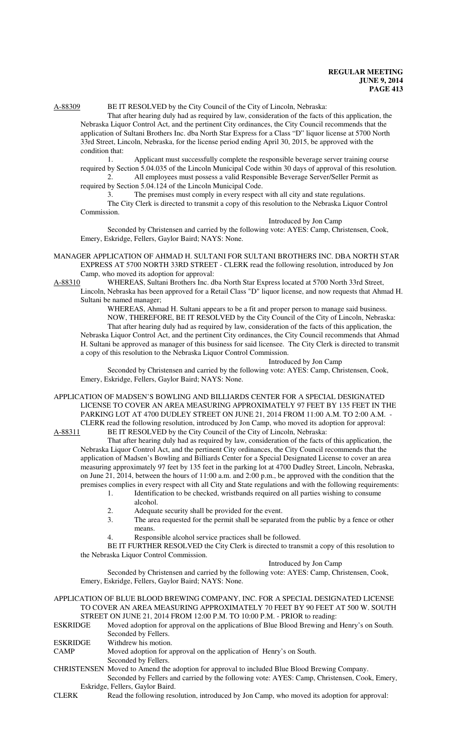# A-88309 BE IT RESOLVED by the City Council of the City of Lincoln, Nebraska:

That after hearing duly had as required by law, consideration of the facts of this application, the Nebraska Liquor Control Act, and the pertinent City ordinances, the City Council recommends that the application of Sultani Brothers Inc. dba North Star Express for a Class "D" liquor license at 5700 North 33rd Street, Lincoln, Nebraska, for the license period ending April 30, 2015, be approved with the condition that:

1. Applicant must successfully complete the responsible beverage server training course required by Section 5.04.035 of the Lincoln Municipal Code within 30 days of approval of this resolution. 2. All employees must possess a valid Responsible Beverage Server/Seller Permit as

required by Section 5.04.124 of the Lincoln Municipal Code. 3. The premises must comply in every respect with all city and state regulations.

The City Clerk is directed to transmit a copy of this resolution to the Nebraska Liquor Control Commission.

Introduced by Jon Camp

Seconded by Christensen and carried by the following vote: AYES: Camp, Christensen, Cook, Emery, Eskridge, Fellers, Gaylor Baird; NAYS: None.

MANAGER APPLICATION OF AHMAD H. SULTANI FOR SULTANI BROTHERS INC. DBA NORTH STAR EXPRESS AT 5700 NORTH 33RD STREET - CLERK read the following resolution, introduced by Jon Camp, who moved its adoption for approval:

A-88310 WHEREAS, Sultani Brothers Inc. dba North Star Express located at 5700 North 33rd Street,

Lincoln, Nebraska has been approved for a Retail Class "D" liquor license, and now requests that Ahmad H. Sultani be named manager;

WHEREAS, Ahmad H. Sultani appears to be a fit and proper person to manage said business. NOW, THEREFORE, BE IT RESOLVED by the City Council of the City of Lincoln, Nebraska: That after hearing duly had as required by law, consideration of the facts of this application, the Nebraska Liquor Control Act, and the pertinent City ordinances, the City Council recommends that Ahmad H. Sultani be approved as manager of this business for said licensee. The City Clerk is directed to transmit a copy of this resolution to the Nebraska Liquor Control Commission.

#### Introduced by Jon Camp

Seconded by Christensen and carried by the following vote: AYES: Camp, Christensen, Cook, Emery, Eskridge, Fellers, Gaylor Baird; NAYS: None.

APPLICATION OF MADSEN'S BOWLING AND BILLIARDS CENTER FOR A SPECIAL DESIGNATED LICENSE TO COVER AN AREA MEASURING APPROXIMATELY 97 FEET BY 135 FEET IN THE PARKING LOT AT 4700 DUDLEY STREET ON JUNE 21, 2014 FROM 11:00 A.M. TO 2:00 A.M. - CLERK read the following resolution, introduced by Jon Camp, who moved its adoption for approval:<br>A-88311 BE IT RESOLVED by the City Council of the City of Lincoln, Nebraska: BE IT RESOLVED by the City Council of the City of Lincoln, Nebraska:

That after hearing duly had as required by law, consideration of the facts of this application, the Nebraska Liquor Control Act, and the pertinent City ordinances, the City Council recommends that the application of Madsen's Bowling and Billiards Center for a Special Designated License to cover an area measuring approximately 97 feet by 135 feet in the parking lot at 4700 Dudley Street, Lincoln, Nebraska, on June 21, 2014, between the hours of 11:00 a.m. and 2:00 p.m., be approved with the condition that the premises complies in every respect with all City and State regulations and with the following requirements:

- 1. Identification to be checked, wristbands required on all parties wishing to consume alcohol.
- 2. Adequate security shall be provided for the event.
- 3. The area requested for the permit shall be separated from the public by a fence or other means.
- 4. Responsible alcohol service practices shall be followed.

BE IT FURTHER RESOLVED the City Clerk is directed to transmit a copy of this resolution to the Nebraska Liquor Control Commission.

#### Introduced by Jon Camp

Seconded by Christensen and carried by the following vote: AYES: Camp, Christensen, Cook, Emery, Eskridge, Fellers, Gaylor Baird; NAYS: None.

APPLICATION OF BLUE BLOOD BREWING COMPANY, INC. FOR A SPECIAL DESIGNATED LICENSE TO COVER AN AREA MEASURING APPROXIMATELY 70 FEET BY 90 FEET AT 500 W. SOUTH

STREET ON JUNE 21, 2014 FROM 12:00 P.M. TO 10:00 P.M. - PRIOR to reading:<br>ESKRIDGE Moved adoption for approval on the applications of Blue Blood Brewing and Moved adoption for approval on the applications of Blue Blood Brewing and Henry's on South. Seconded by Fellers.

ESKRIDGE Withdrew his motion.<br>CAMP Moved adoption for a

Moved adoption for approval on the application of Henry's on South.

Seconded by Fellers.

CHRISTENSEN Moved to Amend the adoption for approval to included Blue Blood Brewing Company.

Seconded by Fellers and carried by the following vote: AYES: Camp, Christensen, Cook, Emery, Eskridge, Fellers, Gaylor Baird.

CLERK Read the following resolution, introduced by Jon Camp, who moved its adoption for approval: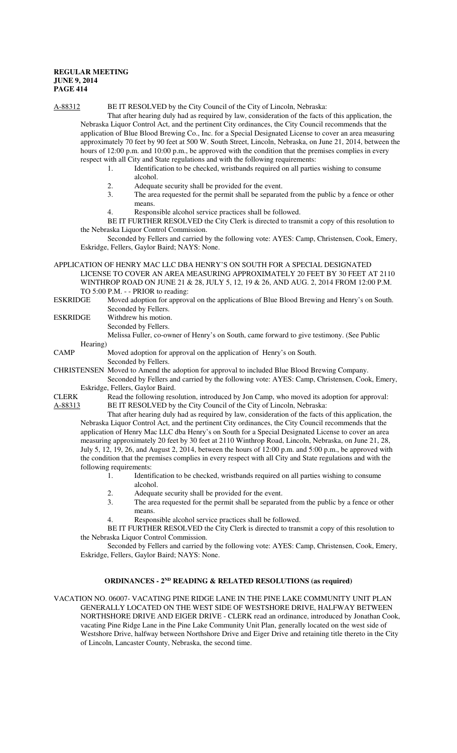A-88312 BE IT RESOLVED by the City Council of the City of Lincoln, Nebraska:

That after hearing duly had as required by law, consideration of the facts of this application, the Nebraska Liquor Control Act, and the pertinent City ordinances, the City Council recommends that the application of Blue Blood Brewing Co., Inc. for a Special Designated License to cover an area measuring approximately 70 feet by 90 feet at 500 W. South Street, Lincoln, Nebraska, on June 21, 2014, between the hours of 12:00 p.m. and 10:00 p.m., be approved with the condition that the premises complies in every respect with all City and State regulations and with the following requirements:

- 1. Identification to be checked, wristbands required on all parties wishing to consume alcohol.
	- 2. Adequate security shall be provided for the event.
- 3. The area requested for the permit shall be separated from the public by a fence or other means.
- 4. Responsible alcohol service practices shall be followed.

BE IT FURTHER RESOLVED the City Clerk is directed to transmit a copy of this resolution to the Nebraska Liquor Control Commission.

Seconded by Fellers and carried by the following vote: AYES: Camp, Christensen, Cook, Emery, Eskridge, Fellers, Gaylor Baird; NAYS: None.

APPLICATION OF HENRY MAC LLC DBA HENRY'S ON SOUTH FOR A SPECIAL DESIGNATED LICENSE TO COVER AN AREA MEASURING APPROXIMATELY 20 FEET BY 30 FEET AT 2110 WINTHROP ROAD ON JUNE 21 & 28, JULY 5, 12, 19 & 26, AND AUG. 2, 2014 FROM 12:00 P.M. TO 5:00 P.M. - - PRIOR to reading:

- ESKRIDGE Moved adoption for approval on the applications of Blue Blood Brewing and Henry's on South. Seconded by Fellers.
- ESKRIDGE Withdrew his motion.
	- Seconded by Fellers.

Melissa Fuller, co-owner of Henry's on South, came forward to give testimony. (See Public

Hearing)

CAMP Moved adoption for approval on the application of Henry's on South.

Seconded by Fellers.

CHRISTENSEN Moved to Amend the adoption for approval to included Blue Blood Brewing Company.

Seconded by Fellers and carried by the following vote: AYES: Camp, Christensen, Cook, Emery, Eskridge, Fellers, Gaylor Baird.

CLERK Read the following resolution, introduced by Jon Camp, who moved its adoption for approval: A-88313 BE IT RESOLVED by the City Council of the City of Lincoln, Nebraska:

That after hearing duly had as required by law, consideration of the facts of this application, the Nebraska Liquor Control Act, and the pertinent City ordinances, the City Council recommends that the application of Henry Mac LLC dba Henry's on South for a Special Designated License to cover an area measuring approximately 20 feet by 30 feet at 2110 Winthrop Road, Lincoln, Nebraska, on June 21, 28, July 5, 12, 19, 26, and August 2, 2014, between the hours of 12:00 p.m. and 5:00 p.m., be approved with the condition that the premises complies in every respect with all City and State regulations and with the following requirements:

- 1. Identification to be checked, wristbands required on all parties wishing to consume alcohol.
- 2. Adequate security shall be provided for the event.
- 3. The area requested for the permit shall be separated from the public by a fence or other means.
- Responsible alcohol service practices shall be followed.

BE IT FURTHER RESOLVED the City Clerk is directed to transmit a copy of this resolution to the Nebraska Liquor Control Commission.

Seconded by Fellers and carried by the following vote: AYES: Camp, Christensen, Cook, Emery, Eskridge, Fellers, Gaylor Baird; NAYS: None.

## **ORDINANCES - 2ND READING & RELATED RESOLUTIONS (as required)**

VACATION NO. 06007- VACATING PINE RIDGE LANE IN THE PINE LAKE COMMUNITY UNIT PLAN GENERALLY LOCATED ON THE WEST SIDE OF WESTSHORE DRIVE, HALFWAY BETWEEN NORTHSHORE DRIVE AND EIGER DRIVE - CLERK read an ordinance, introduced by Jonathan Cook, vacating Pine Ridge Lane in the Pine Lake Community Unit Plan, generally located on the west side of Westshore Drive, halfway between Northshore Drive and Eiger Drive and retaining title thereto in the City of Lincoln, Lancaster County, Nebraska, the second time.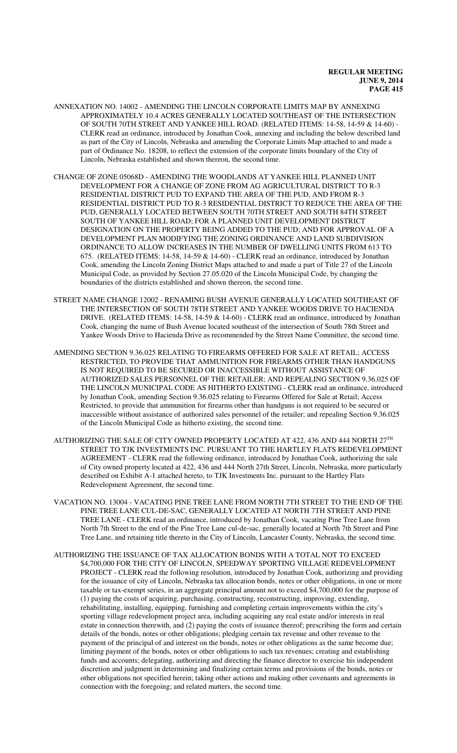- ANNEXATION NO. 14002 AMENDING THE LINCOLN CORPORATE LIMITS MAP BY ANNEXING APPROXIMATELY 10.4 ACRES GENERALLY LOCATED SOUTHEAST OF THE INTERSECTION OF SOUTH 70TH STREET AND YANKEE HILL ROAD. (RELATED ITEMS: 14-58, 14-59 & 14-60) - CLERK read an ordinance, introduced by Jonathan Cook, annexing and including the below described land as part of the City of Lincoln, Nebraska and amending the Corporate Limits Map attached to and made a part of Ordinance No. 18208, to reflect the extension of the corporate limits boundary of the City of Lincoln, Nebraska established and shown thereon, the second time.
- CHANGE OF ZONE 05068D AMENDING THE WOODLANDS AT YANKEE HILL PLANNED UNIT DEVELOPMENT FOR A CHANGE OF ZONE FROM AG AGRICULTURAL DISTRICT TO R-3 RESIDENTIAL DISTRICT PUD TO EXPAND THE AREA OF THE PUD, AND FROM R-3 RESIDENTIAL DISTRICT PUD TO R-3 RESIDENTIAL DISTRICT TO REDUCE THE AREA OF THE PUD, GENERALLY LOCATED BETWEEN SOUTH 70TH STREET AND SOUTH 84TH STREET SOUTH OF YANKEE HILL ROAD; FOR A PLANNED UNIT DEVELOPMENT DISTRICT DESIGNATION ON THE PROPERTY BEING ADDED TO THE PUD; AND FOR APPROVAL OF A DEVELOPMENT PLAN MODIFYING THE ZONING ORDINANCE AND LAND SUBDIVISION ORDINANCE TO ALLOW INCREASES IN THE NUMBER OF DWELLING UNITS FROM 613 TO 675. (RELATED ITEMS: 14-58, 14-59 & 14-60) - CLERK read an ordinance, introduced by Jonathan Cook, amending the Lincoln Zoning District Maps attached to and made a part of Title 27 of the Lincoln Municipal Code, as provided by Section 27.05.020 of the Lincoln Municipal Code, by changing the boundaries of the districts established and shown thereon, the second time.
- STREET NAME CHANGE 12002 RENAMING BUSH AVENUE GENERALLY LOCATED SOUTHEAST OF THE INTERSECTION OF SOUTH 78TH STREET AND YANKEE WOODS DRIVE TO HACIENDA DRIVE. (RELATED ITEMS: 14-58, 14-59 & 14-60) - CLERK read an ordinance, introduced by Jonathan Cook, changing the name of Bush Avenue located southeast of the intersection of South 78th Street and Yankee Woods Drive to Hacienda Drive as recommended by the Street Name Committee, the second time.
- AMENDING SECTION 9.36.025 RELATING TO FIREARMS OFFERED FOR SALE AT RETAIL; ACCESS RESTRICTED, TO PROVIDE THAT AMMUNITION FOR FIREARMS OTHER THAN HANDGUNS IS NOT REQUIRED TO BE SECURED OR INACCESSIBLE WITHOUT ASSISTANCE OF AUTHORIZED SALES PERSONNEL OF THE RETAILER; AND REPEALING SECTION 9.36.025 OF THE LINCOLN MUNICIPAL CODE AS HITHERTO EXISTING - CLERK read an ordinance, introduced by Jonathan Cook, amending Section 9.36.025 relating to Firearms Offered for Sale at Retail; Access Restricted, to provide that ammunition for firearms other than handguns is not required to be secured or inaccessible without assistance of authorized sales personnel of the retailer; and repealing Section 9.36.025 of the Lincoln Municipal Code as hitherto existing, the second time.
- AUTHORIZING THE SALE OF CITY OWNED PROPERTY LOCATED AT 422, 436 AND 444 NORTH 27TH STREET TO TJK INVESTMENTS INC. PURSUANT TO THE HARTLEY FLATS REDEVELOPMENT AGREEMENT - CLERK read the following ordinance, introduced by Jonathan Cook, authorizing the sale of City owned property located at 422, 436 and 444 North 27th Street, Lincoln, Nebraska, more particularly described on Exhibit A-1 attached hereto, to TJK Investments Inc. pursuant to the Hartley Flats Redevelopment Agreement, the second time.
- VACATION NO. 13004 VACATING PINE TREE LANE FROM NORTH 7TH STREET TO THE END OF THE PINE TREE LANE CUL-DE-SAC, GENERALLY LOCATED AT NORTH 7TH STREET AND PINE TREE LANE - CLERK read an ordinance, introduced by Jonathan Cook, vacating Pine Tree Lane from North 7th Street to the end of the Pine Tree Lane cul-de-sac, generally located at North 7th Street and Pine Tree Lane, and retaining title thereto in the City of Lincoln, Lancaster County, Nebraska, the second time.
- AUTHORIZING THE ISSUANCE OF TAX ALLOCATION BONDS WITH A TOTAL NOT TO EXCEED \$4,700,000 FOR THE CITY OF LINCOLN, SPEEDWAY SPORTING VILLAGE REDEVELOPMENT PROJECT - CLERK read the following resolution, introduced by Jonathan Cook, authorizing and providing for the issuance of city of Lincoln, Nebraska tax allocation bonds, notes or other obligations, in one or more taxable or tax-exempt series, in an aggregate principal amount not to exceed \$4,700,000 for the purpose of (1) paying the costs of acquiring, purchasing, constructing, reconstructing, improving, extending, rehabilitating, installing, equipping, furnishing and completing certain improvements within the city's sporting village redevelopment project area, including acquiring any real estate and/or interests in real estate in connection therewith, and (2) paying the costs of issuance thereof; prescribing the form and certain details of the bonds, notes or other obligations; pledging certain tax revenue and other revenue to the payment of the principal of and interest on the bonds, notes or other obligations as the same become due; limiting payment of the bonds, notes or other obligations to such tax revenues; creating and establishing funds and accounts; delegating, authorizing and directing the finance director to exercise his independent discretion and judgment in determining and finalizing certain terms and provisions of the bonds, notes or other obligations not specified herein; taking other actions and making other covenants and agreements in connection with the foregoing; and related matters, the second time.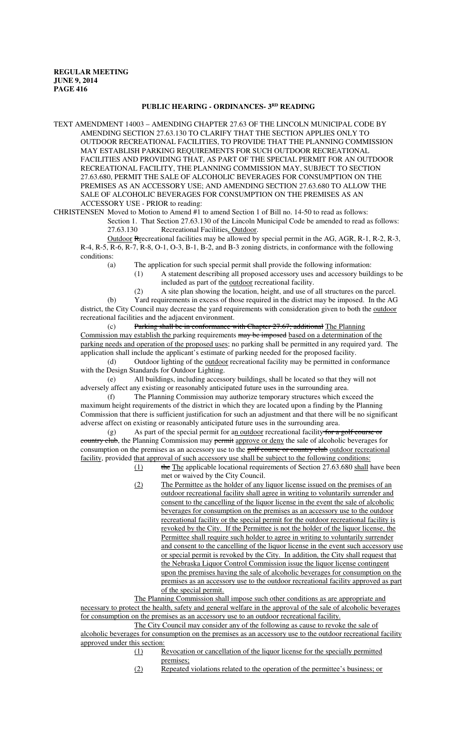## **PUBLIC HEARING - ORDINANCES- 3RD READING**

TEXT AMENDMENT 14003 – AMENDING CHAPTER 27.63 OF THE LINCOLN MUNICIPAL CODE BY AMENDING SECTION 27.63.130 TO CLARIFY THAT THE SECTION APPLIES ONLY TO OUTDOOR RECREATIONAL FACILITIES, TO PROVIDE THAT THE PLANNING COMMISSION MAY ESTABLISH PARKING REQUIREMENTS FOR SUCH OUTDOOR RECREATIONAL FACILITIES AND PROVIDING THAT, AS PART OF THE SPECIAL PERMIT FOR AN OUTDOOR RECREATIONAL FACILITY, THE PLANNING COMMISSION MAY, SUBJECT TO SECTION 27.63.680, PERMIT THE SALE OF ALCOHOLIC BEVERAGES FOR CONSUMPTION ON THE PREMISES AS AN ACCESSORY USE; AND AMENDING SECTION 27.63.680 TO ALLOW THE SALE OF ALCOHOLIC BEVERAGES FOR CONSUMPTION ON THE PREMISES AS AN ACCESSORY USE - PRIOR to reading:

CHRISTENSEN Moved to Motion to Amend #1 to amend Section 1 of Bill no. 14-50 to read as follows:

Section 1. That Section 27.63.130 of the Lincoln Municipal Code be amended to read as follows: 27.63.130 Recreational Facilities, Outdoor.

Outdoor Rrecreational facilities may be allowed by special permit in the AG, AGR, R-1, R-2, R-3, R-4, R-5, R-6, R-7, R-8, O-1, O-3, B-1, B-2, and B-3 zoning districts, in conformance with the following conditions:

- (a) The application for such special permit shall provide the following information:
	- (1) A statement describing all proposed accessory uses and accessory buildings to be included as part of the outdoor recreational facility.
	- (2) A site plan showing the location, height, and use of all structures on the parcel.

(b) Yard requirements in excess of those required in the district may be imposed. In the AG district, the City Council may decrease the yard requirements with consideration given to both the outdoor recreational facilities and the adjacent environment.

(c) Parking shall be in conformance with Chapter 27.67; additional The Planning Commission may establish the parking requirements may be imposed based on a determination of the parking needs and operation of the proposed uses; no parking shall be permitted in any required yard. The application shall include the applicant's estimate of parking needed for the proposed facility.

(d) Outdoor lighting of the outdoor recreational facility may be permitted in conformance with the Design Standards for Outdoor Lighting.

(e) All buildings, including accessory buildings, shall be located so that they will not adversely affect any existing or reasonably anticipated future uses in the surrounding area.

(f) The Planning Commission may authorize temporary structures which exceed the maximum height requirements of the district in which they are located upon a finding by the Planning Commission that there is sufficient justification for such an adjustment and that there will be no significant adverse affect on existing or reasonably anticipated future uses in the surrounding area.

(g) As part of the special permit for an outdoor recreational facility for a golf course or country club, the Planning Commission may permit approve or deny the sale of alcoholic beverages for consumption on the premises as an accessory use to the golf course or country club outdoor recreational facility, provided that approval of such accessory use shall be subject to the following conditions:

- $\frac{1}{1}$  the The applicable locational requirements of Section 27.63.680 shall have been met or waived by the City Council.
- (2) The Permittee as the holder of any liquor license issued on the premises of an outdoor recreational facility shall agree in writing to voluntarily surrender and consent to the cancelling of the liquor license in the event the sale of alcoholic beverages for consumption on the premises as an accessory use to the outdoor recreational facility or the special permit for the outdoor recreational facility is revoked by the City. If the Permittee is not the holder of the liquor license, the Permittee shall require such holder to agree in writing to voluntarily surrender and consent to the cancelling of the liquor license in the event such accessory use or special permit is revoked by the City. In addition, the City shall request that the Nebraska Liquor Control Commission issue the liquor license contingent upon the premises having the sale of alcoholic beverages for consumption on the premises as an accessory use to the outdoor recreational facility approved as part of the special permit.

The Planning Commission shall impose such other conditions as are appropriate and necessary to protect the health, safety and general welfare in the approval of the sale of alcoholic beverages for consumption on the premises as an accessory use to an outdoor recreational facility.

The City Council may consider any of the following as cause to revoke the sale of alcoholic beverages for consumption on the premises as an accessory use to the outdoor recreational facility approved under this section:

- (1) Revocation or cancellation of the liquor license for the specially permitted premises;
- (2) Repeated violations related to the operation of the permittee's business; or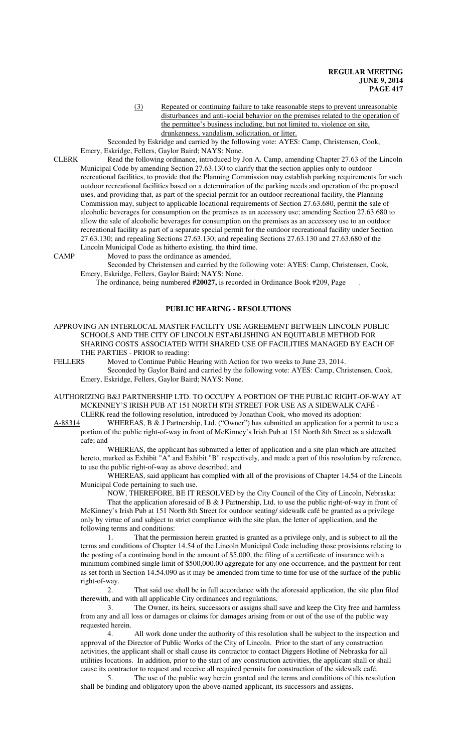(3) Repeated or continuing failure to take reasonable steps to prevent unreasonable disturbances and anti-social behavior on the premises related to the operation of the permittee's business including, but not limited to, violence on site, drunkenness, vandalism, solicitation, or litter.

Seconded by Eskridge and carried by the following vote: AYES: Camp, Christensen, Cook, Emery, Eskridge, Fellers, Gaylor Baird; NAYS: None.

CLERK Read the following ordinance, introduced by Jon A. Camp, amending Chapter 27.63 of the Lincoln Municipal Code by amending Section 27.63.130 to clarify that the section applies only to outdoor recreational facilities, to provide that the Planning Commission may establish parking requirements for such outdoor recreational facilities based on a determination of the parking needs and operation of the proposed uses, and providing that, as part of the special permit for an outdoor recreational facility, the Planning Commission may, subject to applicable locational requirements of Section 27.63.680, permit the sale of alcoholic beverages for consumption on the premises as an accessory use; amending Section 27.63.680 to allow the sale of alcoholic beverages for consumption on the premises as an accessory use to an outdoor recreational facility as part of a separate special permit for the outdoor recreational facility under Section 27.63.130; and repealing Sections 27.63.130; and repealing Sections 27.63.130 and 27.63.680 of the Lincoln Municipal Code as hitherto existing, the third time.

CAMP Moved to pass the ordinance as amended.

Seconded by Christensen and carried by the following vote: AYES: Camp, Christensen, Cook, Emery, Eskridge, Fellers, Gaylor Baird; NAYS: None.

The ordinance, being numbered **#20027,** is recorded in Ordinance Book #209, Page .

## **PUBLIC HEARING - RESOLUTIONS**

APPROVING AN INTERLOCAL MASTER FACILITY USE AGREEMENT BETWEEN LINCOLN PUBLIC SCHOOLS AND THE CITY OF LINCOLN ESTABLISHING AN EQUITABLE METHOD FOR SHARING COSTS ASSOCIATED WITH SHARED USE OF FACILITIES MANAGED BY EACH OF THE PARTIES - PRIOR to reading:

FELLERS Moved to Continue Public Hearing with Action for two weeks to June 23, 2014. Seconded by Gaylor Baird and carried by the following vote: AYES: Camp, Christensen, Cook, Emery, Eskridge, Fellers, Gaylor Baird; NAYS: None.

AUTHORIZING B&J PARTNERSHIP LTD. TO OCCUPY A PORTION OF THE PUBLIC RIGHT-OF-WAY AT MCKINNEY'S IRISH PUB AT 151 NORTH 8TH STREET FOR USE AS A SIDEWALK CAFÉ - CLERK read the following resolution, introduced by Jonathan Cook, who moved its adoption:

A-88314 WHEREAS, B & J Partnership, Ltd. ("Owner") has submitted an application for a permit to use a portion of the public right-of-way in front of McKinney's Irish Pub at 151 North 8th Street as a sidewalk cafe; and

WHEREAS, the applicant has submitted a letter of application and a site plan which are attached hereto, marked as Exhibit "A" and Exhibit "B" respectively, and made a part of this resolution by reference, to use the public right-of-way as above described; and

WHEREAS, said applicant has complied with all of the provisions of Chapter 14.54 of the Lincoln Municipal Code pertaining to such use.

NOW, THEREFORE, BE IT RESOLVED by the City Council of the City of Lincoln, Nebraska:

That the application aforesaid of B & J Partnership, Ltd. to use the public right-of-way in front of McKinney's Irish Pub at 151 North 8th Street for outdoor seating/ sidewalk café be granted as a privilege only by virtue of and subject to strict compliance with the site plan, the letter of application, and the following terms and conditions:

1. That the permission herein granted is granted as a privilege only, and is subject to all the terms and conditions of Chapter 14.54 of the Lincoln Municipal Code including those provisions relating to the posting of a continuing bond in the amount of \$5,000, the filing of a certificate of insurance with a minimum combined single limit of \$500,000.00 aggregate for any one occurrence, and the payment for rent as set forth in Section 14.54.090 as it may be amended from time to time for use of the surface of the public right-of-way.

2. That said use shall be in full accordance with the aforesaid application, the site plan filed therewith, and with all applicable City ordinances and regulations.

3. The Owner, its heirs, successors or assigns shall save and keep the City free and harmless from any and all loss or damages or claims for damages arising from or out of the use of the public way requested herein.

4. All work done under the authority of this resolution shall be subject to the inspection and approval of the Director of Public Works of the City of Lincoln. Prior to the start of any construction activities, the applicant shall or shall cause its contractor to contact Diggers Hotline of Nebraska for all utilities locations. In addition, prior to the start of any construction activities, the applicant shall or shall cause its contractor to request and receive all required permits for construction of the sidewalk café.

The use of the public way herein granted and the terms and conditions of this resolution shall be binding and obligatory upon the above-named applicant, its successors and assigns.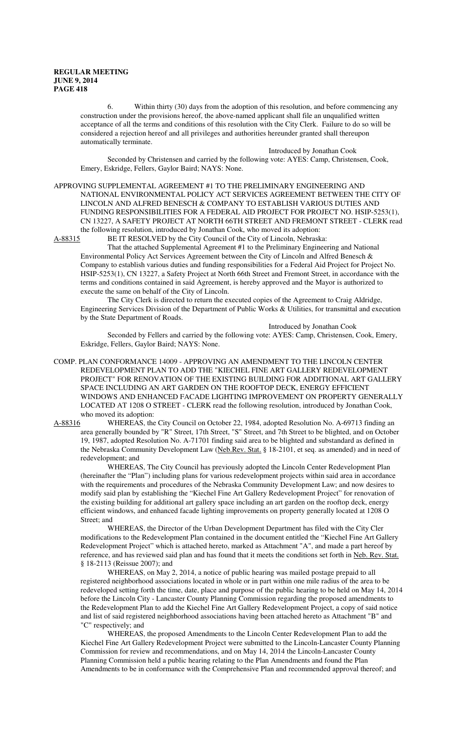6. Within thirty (30) days from the adoption of this resolution, and before commencing any construction under the provisions hereof, the above-named applicant shall file an unqualified written acceptance of all the terms and conditions of this resolution with the City Clerk. Failure to do so will be considered a rejection hereof and all privileges and authorities hereunder granted shall thereupon automatically terminate.

Introduced by Jonathan Cook

Seconded by Christensen and carried by the following vote: AYES: Camp, Christensen, Cook, Emery, Eskridge, Fellers, Gaylor Baird; NAYS: None.

APPROVING SUPPLEMENTAL AGREEMENT #1 TO THE PRELIMINARY ENGINEERING AND NATIONAL ENVIRONMENTAL POLICY ACT SERVICES AGREEMENT BETWEEN THE CITY OF LINCOLN AND ALFRED BENESCH & COMPANY TO ESTABLISH VARIOUS DUTIES AND FUNDING RESPONSIBILITIES FOR A FEDERAL AID PROJECT FOR PROJECT NO. HSIP-5253(1), CN 13227, A SAFETY PROJECT AT NORTH 66TH STREET AND FREMONT STREET - CLERK read the following resolution, introduced by Jonathan Cook, who moved its adoption:<br>A-88315 BE IT RESOLVED by the City Council of the City of Lincoln, Nebrask

BE IT RESOLVED by the City Council of the City of Lincoln, Nebraska:

That the attached Supplemental Agreement #1 to the Preliminary Engineering and National Environmental Policy Act Services Agreement between the City of Lincoln and Alfred Benesch & Company to establish various duties and funding responsibilities for a Federal Aid Project for Project No. HSIP-5253(1), CN 13227, a Safety Project at North 66th Street and Fremont Street, in accordance with the terms and conditions contained in said Agreement, is hereby approved and the Mayor is authorized to execute the same on behalf of the City of Lincoln.

The City Clerk is directed to return the executed copies of the Agreement to Craig Aldridge, Engineering Services Division of the Department of Public Works & Utilities, for transmittal and execution by the State Department of Roads.

Introduced by Jonathan Cook

Seconded by Fellers and carried by the following vote: AYES: Camp, Christensen, Cook, Emery, Eskridge, Fellers, Gaylor Baird; NAYS: None.

COMP. PLAN CONFORMANCE 14009 - APPROVING AN AMENDMENT TO THE LINCOLN CENTER REDEVELOPMENT PLAN TO ADD THE "KIECHEL FINE ART GALLERY REDEVELOPMENT PROJECT" FOR RENOVATION OF THE EXISTING BUILDING FOR ADDITIONAL ART GALLERY SPACE INCLUDING AN ART GARDEN ON THE ROOFTOP DECK, ENERGY EFFICIENT WINDOWS AND ENHANCED FACADE LIGHTING IMPROVEMENT ON PROPERTY GENERALLY LOCATED AT 1208 O STREET - CLERK read the following resolution, introduced by Jonathan Cook, who moved its adoption:

A-88316 WHEREAS, the City Council on October 22, 1984, adopted Resolution No. A-69713 finding an area generally bounded by "R" Street, 17th Street, "S" Street, and 7th Street to be blighted, and on October 19, 1987, adopted Resolution No. A-71701 finding said area to be blighted and substandard as defined in the Nebraska Community Development Law (Neb.Rev. Stat. § 18-2101, et seq. as amended) and in need of redevelopment; and

WHEREAS, The City Council has previously adopted the Lincoln Center Redevelopment Plan (hereinafter the "Plan") including plans for various redevelopment projects within said area in accordance with the requirements and procedures of the Nebraska Community Development Law; and now desires to modify said plan by establishing the "Kiechel Fine Art Gallery Redevelopment Project" for renovation of the existing building for additional art gallery space including an art garden on the rooftop deck, energy efficient windows, and enhanced facade lighting improvements on property generally located at 1208 O Street; and

WHEREAS, the Director of the Urban Development Department has filed with the City Cler modifications to the Redevelopment Plan contained in the document entitled the "Kiechel Fine Art Gallery Redevelopment Project" which is attached hereto, marked as Attachment "A", and made a part hereof by reference, and has reviewed said plan and has found that it meets the conditions set forth in Neb. Rev. Stat. § 18-2113 (Reissue 2007); and

WHEREAS, on May 2, 2014, a notice of public hearing was mailed postage prepaid to all registered neighborhood associations located in whole or in part within one mile radius of the area to be redeveloped setting forth the time, date, place and purpose of the public hearing to be held on May 14, 2014 before the Lincoln City - Lancaster County Planning Commission regarding the proposed amendments to the Redevelopment Plan to add the Kiechel Fine Art Gallery Redevelopment Project, a copy of said notice and list of said registered neighborhood associations having been attached hereto as Attachment "B" and "C" respectively; and

WHEREAS, the proposed Amendments to the Lincoln Center Redevelopment Plan to add the Kiechel Fine Art Gallery Redevelopment Project were submitted to the Lincoln-Lancaster County Planning Commission for review and recommendations, and on May 14, 2014 the Lincoln-Lancaster County Planning Commission held a public hearing relating to the Plan Amendments and found the Plan Amendments to be in conformance with the Comprehensive Plan and recommended approval thereof; and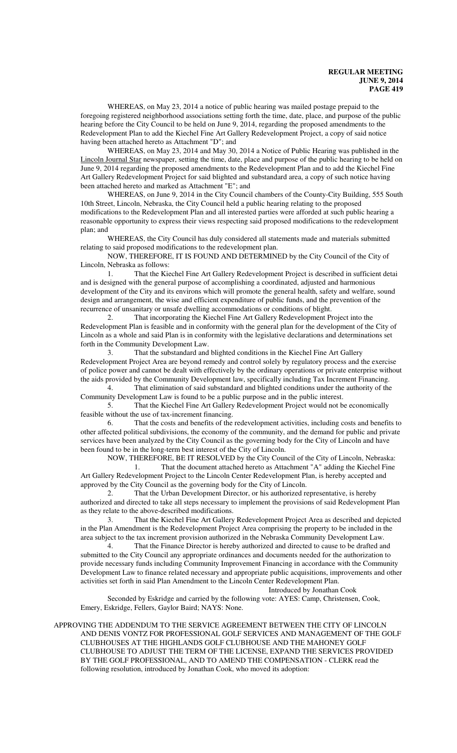WHEREAS, on May 23, 2014 a notice of public hearing was mailed postage prepaid to the foregoing registered neighborhood associations setting forth the time, date, place, and purpose of the public hearing before the City Council to be held on June 9, 2014, regarding the proposed amendments to the Redevelopment Plan to add the Kiechel Fine Art Gallery Redevelopment Project, a copy of said notice having been attached hereto as Attachment "D"; and

WHEREAS, on May 23, 2014 and May 30, 2014 a Notice of Public Hearing was published in the Lincoln Journal Star newspaper, setting the time, date, place and purpose of the public hearing to be held on June 9, 2014 regarding the proposed amendments to the Redevelopment Plan and to add the Kiechel Fine Art Gallery Redevelopment Project for said blighted and substandard area, a copy of such notice having been attached hereto and marked as Attachment "E"; and

WHEREAS, on June 9, 2014 in the City Council chambers of the County-City Building, 555 South 10th Street, Lincoln, Nebraska, the City Council held a public hearing relating to the proposed modifications to the Redevelopment Plan and all interested parties were afforded at such public hearing a reasonable opportunity to express their views respecting said proposed modifications to the redevelopment plan; and

WHEREAS, the City Council has duly considered all statements made and materials submitted relating to said proposed modifications to the redevelopment plan.

NOW, THEREFORE, IT IS FOUND AND DETERMINED by the City Council of the City of Lincoln, Nebraska as follows:

1. That the Kiechel Fine Art Gallery Redevelopment Project is described in sufficient detai and is designed with the general purpose of accomplishing a coordinated, adjusted and harmonious development of the City and its environs which will promote the general health, safety and welfare, sound design and arrangement, the wise and efficient expenditure of public funds, and the prevention of the recurrence of unsanitary or unsafe dwelling accommodations or conditions of blight.

2. That incorporating the Kiechel Fine Art Gallery Redevelopment Project into the Redevelopment Plan is feasible and in conformity with the general plan for the development of the City of Lincoln as a whole and said Plan is in conformity with the legislative declarations and determinations set forth in the Community Development Law.

3. That the substandard and blighted conditions in the Kiechel Fine Art Gallery Redevelopment Project Area are beyond remedy and control solely by regulatory process and the exercise of police power and cannot be dealt with effectively by the ordinary operations or private enterprise without the aids provided by the Community Development law, specifically including Tax Increment Financing.

4. That elimination of said substandard and blighted conditions under the authority of the Community Development Law is found to be a public purpose and in the public interest.

5. That the Kiechel Fine Art Gallery Redevelopment Project would not be economically feasible without the use of tax-increment financing.

6. That the costs and benefits of the redevelopment activities, including costs and benefits to other affected political subdivisions, the economy of the community, and the demand for public and private services have been analyzed by the City Council as the governing body for the City of Lincoln and have been found to be in the long-term best interest of the City of Lincoln.

NOW, THEREFORE, BE IT RESOLVED by the City Council of the City of Lincoln, Nebraska: 1. That the document attached hereto as Attachment "A" adding the Kiechel Fine

Art Gallery Redevelopment Project to the Lincoln Center Redevelopment Plan, is hereby accepted and approved by the City Council as the governing body for the City of Lincoln. 2. That the Urban Development Director, or his authorized representative, is hereby

authorized and directed to take all steps necessary to implement the provisions of said Redevelopment Plan as they relate to the above-described modifications.

3. That the Kiechel Fine Art Gallery Redevelopment Project Area as described and depicted in the Plan Amendment is the Redevelopment Project Area comprising the property to be included in the area subject to the tax increment provision authorized in the Nebraska Community Development Law.

4. That the Finance Director is hereby authorized and directed to cause to be drafted and submitted to the City Council any appropriate ordinances and documents needed for the authorization to provide necessary funds including Community Improvement Financing in accordance with the Community Development Law to finance related necessary and appropriate public acquisitions, improvements and other activities set forth in said Plan Amendment to the Lincoln Center Redevelopment Plan.

Introduced by Jonathan Cook

Seconded by Eskridge and carried by the following vote: AYES: Camp, Christensen, Cook, Emery, Eskridge, Fellers, Gaylor Baird; NAYS: None.

## APPROVING THE ADDENDUM TO THE SERVICE AGREEMENT BETWEEN THE CITY OF LINCOLN AND DENIS VONTZ FOR PROFESSIONAL GOLF SERVICES AND MANAGEMENT OF THE GOLF CLUBHOUSES AT THE HIGHLANDS GOLF CLUBHOUSE AND THE MAHONEY GOLF CLUBHOUSE TO ADJUST THE TERM OF THE LICENSE, EXPAND THE SERVICES PROVIDED BY THE GOLF PROFESSIONAL, AND TO AMEND THE COMPENSATION - CLERK read the following resolution, introduced by Jonathan Cook, who moved its adoption: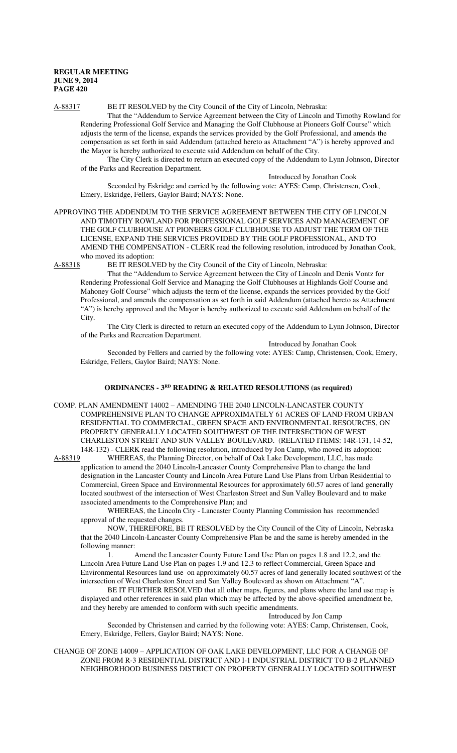A-88317 BE IT RESOLVED by the City Council of the City of Lincoln, Nebraska:

That the "Addendum to Service Agreement between the City of Lincoln and Timothy Rowland for Rendering Professional Golf Service and Managing the Golf Clubhouse at Pioneers Golf Course" which adjusts the term of the license, expands the services provided by the Golf Professional, and amends the compensation as set forth in said Addendum (attached hereto as Attachment "A") is hereby approved and the Mayor is hereby authorized to execute said Addendum on behalf of the City.

The City Clerk is directed to return an executed copy of the Addendum to Lynn Johnson, Director of the Parks and Recreation Department.

Introduced by Jonathan Cook

Seconded by Eskridge and carried by the following vote: AYES: Camp, Christensen, Cook, Emery, Eskridge, Fellers, Gaylor Baird; NAYS: None.

APPROVING THE ADDENDUM TO THE SERVICE AGREEMENT BETWEEN THE CITY OF LINCOLN AND TIMOTHY ROWLAND FOR PROFESSIONAL GOLF SERVICES AND MANAGEMENT OF THE GOLF CLUBHOUSE AT PIONEERS GOLF CLUBHOUSE TO ADJUST THE TERM OF THE LICENSE, EXPAND THE SERVICES PROVIDED BY THE GOLF PROFESSIONAL, AND TO AMEND THE COMPENSATION - CLERK read the following resolution, introduced by Jonathan Cook, who moved its adoption:<br>A-88318 BE IT RESOLV

BE IT RESOLVED by the City Council of the City of Lincoln, Nebraska:

That the "Addendum to Service Agreement between the City of Lincoln and Denis Vontz for Rendering Professional Golf Service and Managing the Golf Clubhouses at Highlands Golf Course and Mahoney Golf Course" which adjusts the term of the license, expands the services provided by the Golf Professional, and amends the compensation as set forth in said Addendum (attached hereto as Attachment "A") is hereby approved and the Mayor is hereby authorized to execute said Addendum on behalf of the City.

The City Clerk is directed to return an executed copy of the Addendum to Lynn Johnson, Director of the Parks and Recreation Department.

Introduced by Jonathan Cook

Seconded by Fellers and carried by the following vote: AYES: Camp, Christensen, Cook, Emery, Eskridge, Fellers, Gaylor Baird; NAYS: None.

# **ORDINANCES - 3RD READING & RELATED RESOLUTIONS (as required)**

COMP. PLAN AMENDMENT 14002 – AMENDING THE 2040 LINCOLN-LANCASTER COUNTY COMPREHENSIVE PLAN TO CHANGE APPROXIMATELY 61 ACRES OF LAND FROM URBAN RESIDENTIAL TO COMMERCIAL, GREEN SPACE AND ENVIRONMENTAL RESOURCES, ON PROPERTY GENERALLY LOCATED SOUTHWEST OF THE INTERSECTION OF WEST CHARLESTON STREET AND SUN VALLEY BOULEVARD. (RELATED ITEMS: 14R-131, 14-52, 14R-132) - CLERK read the following resolution, introduced by Jon Camp, who moved its adoption:<br>A-88319 WHEREAS, the Planning Director, on behalf of Oak Lake Development, LLC, has made

WHEREAS, the Planning Director, on behalf of Oak Lake Development, LLC, has made application to amend the 2040 Lincoln-Lancaster County Comprehensive Plan to change the land designation in the Lancaster County and Lincoln Area Future Land Use Plans from Urban Residential to Commercial, Green Space and Environmental Resources for approximately 60.57 acres of land generally located southwest of the intersection of West Charleston Street and Sun Valley Boulevard and to make associated amendments to the Comprehensive Plan; and

WHEREAS, the Lincoln City - Lancaster County Planning Commission has recommended approval of the requested changes.

NOW, THEREFORE, BE IT RESOLVED by the City Council of the City of Lincoln, Nebraska that the 2040 Lincoln-Lancaster County Comprehensive Plan be and the same is hereby amended in the following manner:

1. Amend the Lancaster County Future Land Use Plan on pages 1.8 and 12.2, and the Lincoln Area Future Land Use Plan on pages 1.9 and 12.3 to reflect Commercial, Green Space and Environmental Resources land use on approximately 60.57 acres of land generally located southwest of the intersection of West Charleston Street and Sun Valley Boulevard as shown on Attachment "A".

BE IT FURTHER RESOLVED that all other maps, figures, and plans where the land use map is displayed and other references in said plan which may be affected by the above-specified amendment be, and they hereby are amended to conform with such specific amendments.

Introduced by Jon Camp

Seconded by Christensen and carried by the following vote: AYES: Camp, Christensen, Cook, Emery, Eskridge, Fellers, Gaylor Baird; NAYS: None.

## CHANGE OF ZONE 14009 – APPLICATION OF OAK LAKE DEVELOPMENT, LLC FOR A CHANGE OF ZONE FROM R-3 RESIDENTIAL DISTRICT AND I-1 INDUSTRIAL DISTRICT TO B-2 PLANNED NEIGHBORHOOD BUSINESS DISTRICT ON PROPERTY GENERALLY LOCATED SOUTHWEST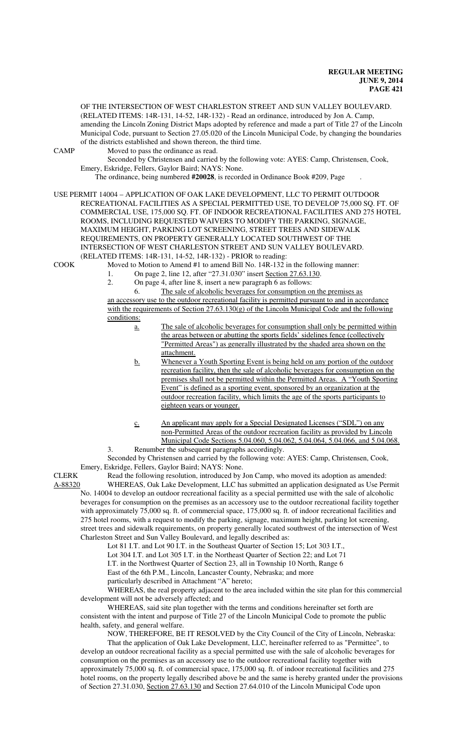(RELATED ITEMS: 14R-131, 14-52, 14R-132) - Read an ordinance, introduced by Jon A. Camp, amending the Lincoln Zoning District Maps adopted by reference and made a part of Title 27 of the Lincoln Municipal Code, pursuant to Section 27.05.020 of the Lincoln Municipal Code, by changing the boundaries of the districts established and shown thereon, the third time. CAMP Moved to pass the ordinance as read. Seconded by Christensen and carried by the following vote: AYES: Camp, Christensen, Cook, Emery, Eskridge, Fellers, Gaylor Baird; NAYS: None. The ordinance, being numbered **#20028**, is recorded in Ordinance Book #209, Page . USE PERMIT 14004 – APPLICATION OF OAK LAKE DEVELOPMENT, LLC TO PERMIT OUTDOOR RECREATIONAL FACILITIES AS A SPECIAL PERMITTED USE, TO DEVELOP 75,000 SQ. FT. OF COMMERCIAL USE, 175,000 SQ. FT. OF INDOOR RECREATIONAL FACILITIES AND 275 HOTEL ROOMS, INCLUDING REQUESTED WAIVERS TO MODIFY THE PARKING, SIGNAGE, MAXIMUM HEIGHT, PARKING LOT SCREENING, STREET TREES AND SIDEWALK REQUIREMENTS, ON PROPERTY GENERALLY LOCATED SOUTHWEST OF THE INTERSECTION OF WEST CHARLESTON STREET AND SUN VALLEY BOULEVARD. (RELATED ITEMS: 14R-131, 14-52, 14R-132) - PRIOR to reading: COOK Moved to Motion to Amend #1 to amend Bill No. 14R-132 in the following manner: 1. On page 2, line 12, after "27.31.030" insert Section 27.63.130. 2. On page 4, after line 8, insert a new paragraph 6 as follows: 6. The sale of alcoholic beverages for consumption on the premises as an accessory use to the outdoor recreational facility is permitted pursuant to and in accordance with the requirements of Section 27.63.130(g) of the Lincoln Municipal Code and the following conditions: a. The sale of alcoholic beverages for consumption shall only be permitted within the areas between or abutting the sports fields' sidelines fence (collectively "Permitted Areas") as generally illustrated by the shaded area shown on the attachment. b. Whenever a Youth Sporting Event is being held on any portion of the outdoor recreation facility, then the sale of alcoholic beverages for consumption on the premises shall not be permitted within the Permitted Areas. A "Youth Sporting Event" is defined as a sporting event, sponsored by an organization at the outdoor recreation facility, which limits the age of the sports participants to

> c. An applicant may apply for a Special Designated Licenses ("SDL") on any non-Permitted Areas of the outdoor recreation facility as provided by Lincoln Municipal Code Sections 5.04.060, 5.04.062, 5.04.064, 5.04.066, and 5.04.068.

3. Renumber the subsequent paragraphs accordingly. Seconded by Christensen and carried by the following vote: AYES: Camp, Christensen, Cook, Emery, Eskridge, Fellers, Gaylor Baird; NAYS: None.

CLERK Read the following resolution, introduced by Jon Camp, who moved its adoption as amended: A-88320 WHEREAS, Oak Lake Development, LLC has submitted an application designated as Use Permit No. 14004 to develop an outdoor recreational facility as a special permitted use with the sale of alcoholic beverages for consumption on the premises as an accessory use to the outdoor recreational facility together with approximately 75,000 sq. ft. of commercial space, 175,000 sq. ft. of indoor recreational facilities and 275 hotel rooms, with a request to modify the parking, signage, maximum height, parking lot screening, street trees and sidewalk requirements, on property generally located southwest of the intersection of West Charleston Street and Sun Valley Boulevard, and legally described as:

Lot 81 I.T. and Lot 90 I.T. in the Southeast Quarter of Section 15; Lot 303 I.T.,

Lot 304 I.T. and Lot 305 I.T. in the Northeast Quarter of Section 22; and Lot 71

I.T. in the Northwest Quarter of Section 23, all in Township 10 North, Range 6

East of the 6th P.M., Lincoln, Lancaster County, Nebraska; and more particularly described in Attachment "A" hereto;

eighteen years or younger.

WHEREAS, the real property adjacent to the area included within the site plan for this commercial development will not be adversely affected; and

WHEREAS, said site plan together with the terms and conditions hereinafter set forth are consistent with the intent and purpose of Title 27 of the Lincoln Municipal Code to promote the public health, safety, and general welfare.

NOW, THEREFORE, BE IT RESOLVED by the City Council of the City of Lincoln, Nebraska:

That the application of Oak Lake Development, LLC, hereinafter referred to as "Permittee", to develop an outdoor recreational facility as a special permitted use with the sale of alcoholic beverages for consumption on the premises as an accessory use to the outdoor recreational facility together with approximately 75,000 sq. ft. of commercial space, 175,000 sq. ft. of indoor recreational facilities and 275 hotel rooms, on the property legally described above be and the same is hereby granted under the provisions of Section 27.31.030, Section 27.63.130 and Section 27.64.010 of the Lincoln Municipal Code upon

OF THE INTERSECTION OF WEST CHARLESTON STREET AND SUN VALLEY BOULEVARD.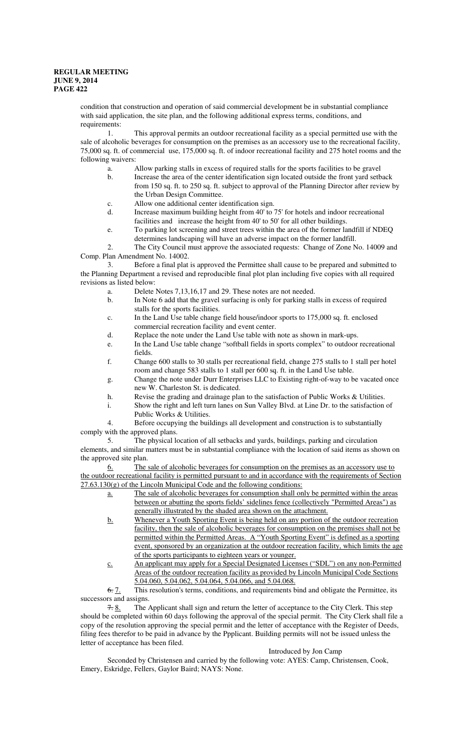condition that construction and operation of said commercial development be in substantial compliance with said application, the site plan, and the following additional express terms, conditions, and requirements:

1. This approval permits an outdoor recreational facility as a special permitted use with the sale of alcoholic beverages for consumption on the premises as an accessory use to the recreational facility, 75,000 sq. ft. of commercial use, 175,000 sq. ft. of indoor recreational facility and 275 hotel rooms and the following waivers:

- a. Allow parking stalls in excess of required stalls for the sports facilities to be gravel
- b. Increase the area of the center identification sign located outside the front yard setback from 150 sq. ft. to 250 sq. ft. subject to approval of the Planning Director after review by the Urban Design Committee.
- c. Allow one additional center identification sign.
- d. Increase maximum building height from 40' to 75' for hotels and indoor recreational facilities and increase the height from 40' to 50' for all other buildings.
- e. To parking lot screening and street trees within the area of the former landfill if NDEQ determines landscaping will have an adverse impact on the former landfill.

2. The City Council must approve the associated requests: Change of Zone No. 14009 and Comp. Plan Amendment No. 14002.

3. Before a final plat is approved the Permittee shall cause to be prepared and submitted to the Planning Department a revised and reproducible final plot plan including five copies with all required revisions as listed below:

- a. Delete Notes 7,13,16,17 and 29. These notes are not needed.
- b. In Note 6 add that the gravel surfacing is only for parking stalls in excess of required stalls for the sports facilities.
- c. In the Land Use table change field house/indoor sports to 175,000 sq. ft. enclosed commercial recreation facility and event center.
- d. Replace the note under the Land Use table with note as shown in mark-ups.
- e. In the Land Use table change "softball fields in sports complex" to outdoor recreational fields.
- f. Change 600 stalls to 30 stalls per recreational field, change 275 stalls to 1 stall per hotel room and change 583 stalls to 1 stall per 600 sq. ft. in the Land Use table.
- g. Change the note under Durr Enterprises LLC to Existing right-of-way to be vacated once new W. Charleston St. is dedicated.
- h. Revise the grading and drainage plan to the satisfaction of Public Works & Utilities.
- i. Show the right and left turn lanes on Sun Valley Blvd. at Line Dr. to the satisfaction of Public Works & Utilities.

4. Before occupying the buildings all development and construction is to substantially comply with the approved plans.

5. The physical location of all setbacks and yards, buildings, parking and circulation elements, and similar matters must be in substantial compliance with the location of said items as shown on the approved site plan.

6. The sale of alcoholic beverages for consumption on the premises as an accessory use to the outdoor recreational facility is permitted pursuant to and in accordance with the requirements of Section  $27.63.130(g)$  of the Lincoln Municipal Code and the following conditions:

- a. The sale of alcoholic beverages for consumption shall only be permitted within the areas between or abutting the sports fields' sidelines fence (collectively "Permitted Areas") as generally illustrated by the shaded area shown on the attachment.
- b. Whenever a Youth Sporting Event is being held on any portion of the outdoor recreation facility, then the sale of alcoholic beverages for consumption on the premises shall not be permitted within the Permitted Areas. A "Youth Sporting Event" is defined as a sporting event, sponsored by an organization at the outdoor recreation facility, which limits the age of the sports participants to eighteen years or younger.
- c. An applicant may apply for a Special Designated Licenses ("SDL") on any non-Permitted Areas of the outdoor recreation facility as provided by Lincoln Municipal Code Sections 5.04.060, 5.04.062, 5.04.064, 5.04.066, and 5.04.068.

6. 7. This resolution's terms, conditions, and requirements bind and obligate the Permittee, its successors and assigns.

 $7.8$ . The Applicant shall sign and return the letter of acceptance to the City Clerk. This step should be completed within 60 days following the approval of the special permit. The City Clerk shall file a copy of the resolution approving the special permit and the letter of acceptance with the Register of Deeds, filing fees therefor to be paid in advance by the Ppplicant. Building permits will not be issued unless the letter of acceptance has been filed.

## Introduced by Jon Camp

Seconded by Christensen and carried by the following vote: AYES: Camp, Christensen, Cook, Emery, Eskridge, Fellers, Gaylor Baird; NAYS: None.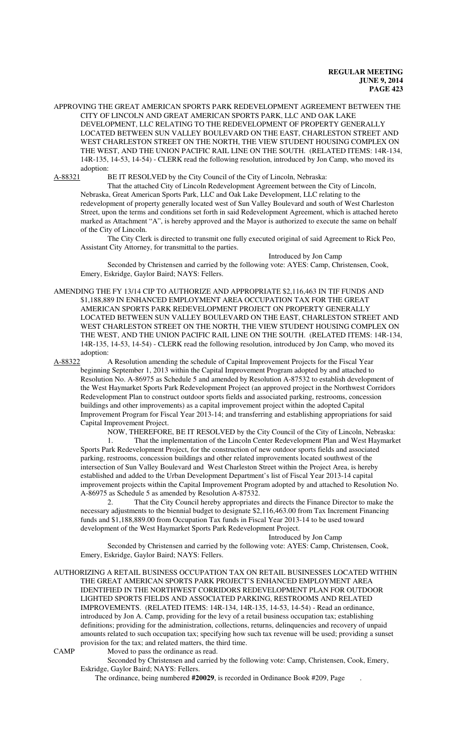APPROVING THE GREAT AMERICAN SPORTS PARK REDEVELOPMENT AGREEMENT BETWEEN THE CITY OF LINCOLN AND GREAT AMERICAN SPORTS PARK, LLC AND OAK LAKE DEVELOPMENT, LLC RELATING TO THE REDEVELOPMENT OF PROPERTY GENERALLY LOCATED BETWEEN SUN VALLEY BOULEVARD ON THE EAST, CHARLESTON STREET AND WEST CHARLESTON STREET ON THE NORTH, THE VIEW STUDENT HOUSING COMPLEX ON THE WEST, AND THE UNION PACIFIC RAIL LINE ON THE SOUTH. (RELATED ITEMS: 14R-134, 14R-135, 14-53, 14-54) - CLERK read the following resolution, introduced by Jon Camp, who moved its adoption:<br>A-88321 I

BE IT RESOLVED by the City Council of the City of Lincoln, Nebraska:

That the attached City of Lincoln Redevelopment Agreement between the City of Lincoln, Nebraska, Great American Sports Park, LLC and Oak Lake Development, LLC relating to the redevelopment of property generally located west of Sun Valley Boulevard and south of West Charleston Street, upon the terms and conditions set forth in said Redevelopment Agreement, which is attached hereto marked as Attachment "A", is hereby approved and the Mayor is authorized to execute the same on behalf of the City of Lincoln.

The City Clerk is directed to transmit one fully executed original of said Agreement to Rick Peo, Assistant City Attorney, for transmittal to the parties.

Introduced by Jon Camp Seconded by Christensen and carried by the following vote: AYES: Camp, Christensen, Cook, Emery, Eskridge, Gaylor Baird; NAYS: Fellers.

AMENDING THE FY 13/14 CIP TO AUTHORIZE AND APPROPRIATE \$2,116,463 IN TIF FUNDS AND \$1,188,889 IN ENHANCED EMPLOYMENT AREA OCCUPATION TAX FOR THE GREAT AMERICAN SPORTS PARK REDEVELOPMENT PROJECT ON PROPERTY GENERALLY LOCATED BETWEEN SUN VALLEY BOULEVARD ON THE EAST, CHARLESTON STREET AND WEST CHARLESTON STREET ON THE NORTH, THE VIEW STUDENT HOUSING COMPLEX ON THE WEST, AND THE UNION PACIFIC RAIL LINE ON THE SOUTH. (RELATED ITEMS: 14R-134, 14R-135, 14-53, 14-54) - CLERK read the following resolution, introduced by Jon Camp, who moved its adoption:

A-88322 A Resolution amending the schedule of Capital Improvement Projects for the Fiscal Year beginning September 1, 2013 within the Capital Improvement Program adopted by and attached to Resolution No. A-86975 as Schedule 5 and amended by Resolution A-87532 to establish development of the West Haymarket Sports Park Redevelopment Project (an approved project in the Northwest Corridors Redevelopment Plan to construct outdoor sports fields and associated parking, restrooms, concession buildings and other improvements) as a capital improvement project within the adopted Capital Improvement Program for Fiscal Year 2013-14; and transferring and establishing appropriations for said Capital Improvement Project.

NOW, THEREFORE, BE IT RESOLVED by the City Council of the City of Lincoln, Nebraska:

That the implementation of the Lincoln Center Redevelopment Plan and West Haymarket Sports Park Redevelopment Project, for the construction of new outdoor sports fields and associated parking, restrooms, concession buildings and other related improvements located southwest of the intersection of Sun Valley Boulevard and West Charleston Street within the Project Area, is hereby established and added to the Urban Development Department's list of Fiscal Year 2013-14 capital improvement projects within the Capital Improvement Program adopted by and attached to Resolution No. A-86975 as Schedule 5 as amended by Resolution A-87532.

2. That the City Council hereby appropriates and directs the Finance Director to make the necessary adjustments to the biennial budget to designate \$2,116,463.00 from Tax Increment Financing funds and \$1,188,889.00 from Occupation Tax funds in Fiscal Year 2013-14 to be used toward development of the West Haymarket Sports Park Redevelopment Project.

Introduced by Jon Camp

Seconded by Christensen and carried by the following vote: AYES: Camp, Christensen, Cook, Emery, Eskridge, Gaylor Baird; NAYS: Fellers.

AUTHORIZING A RETAIL BUSINESS OCCUPATION TAX ON RETAIL BUSINESSES LOCATED WITHIN THE GREAT AMERICAN SPORTS PARK PROJECT'S ENHANCED EMPLOYMENT AREA IDENTIFIED IN THE NORTHWEST CORRIDORS REDEVELOPMENT PLAN FOR OUTDOOR LIGHTED SPORTS FIELDS AND ASSOCIATED PARKING, RESTROOMS AND RELATED IMPROVEMENTS. (RELATED ITEMS: 14R-134, 14R-135, 14-53, 14-54) - Read an ordinance, introduced by Jon A. Camp, providing for the levy of a retail business occupation tax; establishing definitions; providing for the administration, collections, returns, delinquencies and recovery of unpaid amounts related to such occupation tax; specifying how such tax revenue will be used; providing a sunset provision for the tax; and related matters, the third time.

CAMP Moved to pass the ordinance as read.

Seconded by Christensen and carried by the following vote: Camp, Christensen, Cook, Emery, Eskridge, Gaylor Baird; NAYS: Fellers.

The ordinance, being numbered **#20029**, is recorded in Ordinance Book #209, Page .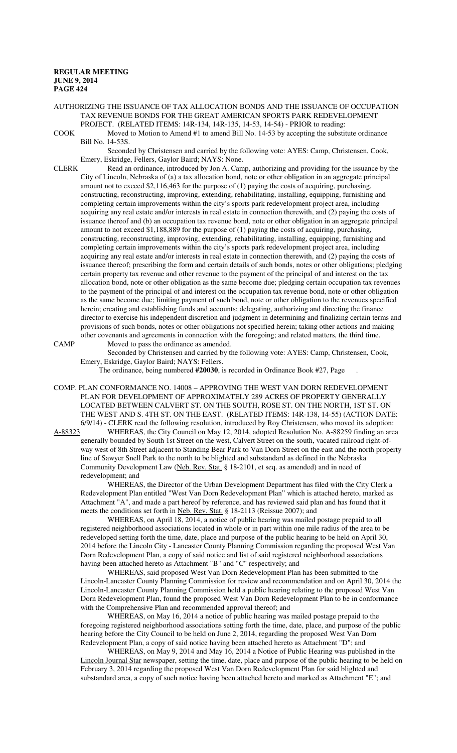AUTHORIZING THE ISSUANCE OF TAX ALLOCATION BONDS AND THE ISSUANCE OF OCCUPATION TAX REVENUE BONDS FOR THE GREAT AMERICAN SPORTS PARK REDEVELOPMENT PROJECT. (RELATED ITEMS: 14R-134, 14R-135, 14-53, 14-54) - PRIOR to reading:

COOK Moved to Motion to Amend #1 to amend Bill No. 14-53 by accepting the substitute ordinance Bill No. 14-53S.

Seconded by Christensen and carried by the following vote: AYES: Camp, Christensen, Cook, Emery, Eskridge, Fellers, Gaylor Baird; NAYS: None.

CLERK Read an ordinance, introduced by Jon A. Camp, authorizing and providing for the issuance by the City of Lincoln, Nebraska of (a) a tax allocation bond, note or other obligation in an aggregate principal amount not to exceed \$2,116,463 for the purpose of (1) paying the costs of acquiring, purchasing, constructing, reconstructing, improving, extending, rehabilitating, installing, equipping, furnishing and completing certain improvements within the city's sports park redevelopment project area, including acquiring any real estate and/or interests in real estate in connection therewith, and (2) paying the costs of issuance thereof and (b) an occupation tax revenue bond, note or other obligation in an aggregate principal amount to not exceed \$1,188,889 for the purpose of (1) paying the costs of acquiring, purchasing, constructing, reconstructing, improving, extending, rehabilitating, installing, equipping, furnishing and completing certain improvements within the city's sports park redevelopment project area, including acquiring any real estate and/or interests in real estate in connection therewith, and (2) paying the costs of issuance thereof; prescribing the form and certain details of such bonds, notes or other obligations; pledging certain property tax revenue and other revenue to the payment of the principal of and interest on the tax allocation bond, note or other obligation as the same become due; pledging certain occupation tax revenues to the payment of the principal of and interest on the occupation tax revenue bond, note or other obligation as the same become due; limiting payment of such bond, note or other obligation to the revenues specified herein; creating and establishing funds and accounts; delegating, authorizing and directing the finance director to exercise his independent discretion and judgment in determining and finalizing certain terms and provisions of such bonds, notes or other obligations not specified herein; taking other actions and making other covenants and agreements in connection with the foregoing; and related matters, the third time.

CAMP Moved to pass the ordinance as amended. Seconded by Christensen and carried by the following vote: AYES: Camp, Christensen, Cook,

Emery, Eskridge, Gaylor Baird; NAYS: Fellers.

The ordinance, being numbered **#20030**, is recorded in Ordinance Book #27, Page .

COMP. PLAN CONFORMANCE NO. 14008 – APPROVING THE WEST VAN DORN REDEVELOPMENT PLAN FOR DEVELOPMENT OF APPROXIMATELY 289 ACRES OF PROPERTY GENERALLY LOCATED BETWEEN CALVERT ST. ON THE SOUTH, ROSE ST. ON THE NORTH, 1ST ST. ON THE WEST AND S. 4TH ST. ON THE EAST. (RELATED ITEMS: 14R-138, 14-55) (ACTION DATE:

6/9/14) - CLERK read the following resolution, introduced by Roy Christensen, who moved its adoption:<br>A-88323 WHEREAS, the City Council on May 12, 2014, adopted Resolution No. A-88259 finding an area WHEREAS, the City Council on May 12, 2014, adopted Resolution No. A-88259 finding an area generally bounded by South 1st Street on the west, Calvert Street on the south, vacated railroad right-ofway west of 8th Street adjacent to Standing Bear Park to Van Dorn Street on the east and the north property line of Sawyer Snell Park to the north to be blighted and substandard as defined in the Nebraska Community Development Law (Neb. Rev. Stat. § 18-2101, et seq. as amended) and in need of redevelopment; and

WHEREAS, the Director of the Urban Development Department has filed with the City Clerk a Redevelopment Plan entitled "West Van Dorn Redevelopment Plan" which is attached hereto, marked as Attachment "A", and made a part hereof by reference, and has reviewed said plan and has found that it meets the conditions set forth in Neb. Rev. Stat. § 18-2113 (Reissue 2007); and

WHEREAS, on April 18, 2014, a notice of public hearing was mailed postage prepaid to all registered neighborhood associations located in whole or in part within one mile radius of the area to be redeveloped setting forth the time, date, place and purpose of the public hearing to be held on April 30, 2014 before the Lincoln City - Lancaster County Planning Commission regarding the proposed West Van Dorn Redevelopment Plan, a copy of said notice and list of said registered neighborhood associations having been attached hereto as Attachment "B" and "C" respectively; and

WHEREAS, said proposed West Van Dorn Redevelopment Plan has been submitted to the Lincoln-Lancaster County Planning Commission for review and recommendation and on April 30, 2014 the Lincoln-Lancaster County Planning Commission held a public hearing relating to the proposed West Van Dorn Redevelopment Plan, found the proposed West Van Dorn Redevelopment Plan to be in conformance with the Comprehensive Plan and recommended approval thereof; and

WHEREAS, on May 16, 2014 a notice of public hearing was mailed postage prepaid to the foregoing registered neighborhood associations setting forth the time, date, place, and purpose of the public hearing before the City Council to be held on June 2, 2014, regarding the proposed West Van Dorn Redevelopment Plan, a copy of said notice having been attached hereto as Attachment "D"; and

WHEREAS, on May 9, 2014 and May 16, 2014 a Notice of Public Hearing was published in the Lincoln Journal Star newspaper, setting the time, date, place and purpose of the public hearing to be held on February 3, 2014 regarding the proposed West Van Dorn Redevelopment Plan for said blighted and substandard area, a copy of such notice having been attached hereto and marked as Attachment "E"; and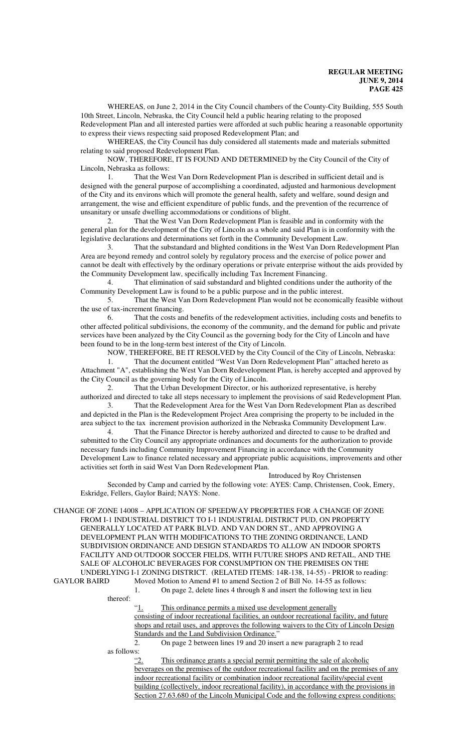WHEREAS, on June 2, 2014 in the City Council chambers of the County-City Building, 555 South 10th Street, Lincoln, Nebraska, the City Council held a public hearing relating to the proposed

Redevelopment Plan and all interested parties were afforded at such public hearing a reasonable opportunity to express their views respecting said proposed Redevelopment Plan; and

WHEREAS, the City Council has duly considered all statements made and materials submitted relating to said proposed Redevelopment Plan.

NOW, THEREFORE, IT IS FOUND AND DETERMINED by the City Council of the City of Lincoln, Nebraska as follows:

1. That the West Van Dorn Redevelopment Plan is described in sufficient detail and is designed with the general purpose of accomplishing a coordinated, adjusted and harmonious development of the City and its environs which will promote the general health, safety and welfare, sound design and arrangement, the wise and efficient expenditure of public funds, and the prevention of the recurrence of unsanitary or unsafe dwelling accommodations or conditions of blight.

2. That the West Van Dorn Redevelopment Plan is feasible and in conformity with the general plan for the development of the City of Lincoln as a whole and said Plan is in conformity with the legislative declarations and determinations set forth in the Community Development Law.

3. That the substandard and blighted conditions in the West Van Dorn Redevelopment Plan Area are beyond remedy and control solely by regulatory process and the exercise of police power and cannot be dealt with effectively by the ordinary operations or private enterprise without the aids provided by the Community Development law, specifically including Tax Increment Financing.

4. That elimination of said substandard and blighted conditions under the authority of the Community Development Law is found to be a public purpose and in the public interest.

5. That the West Van Dorn Redevelopment Plan would not be economically feasible without the use of tax-increment financing.

6. That the costs and benefits of the redevelopment activities, including costs and benefits to other affected political subdivisions, the economy of the community, and the demand for public and private services have been analyzed by the City Council as the governing body for the City of Lincoln and have been found to be in the long-term best interest of the City of Lincoln.

NOW, THEREFORE, BE IT RESOLVED by the City Council of the City of Lincoln, Nebraska:

1. That the document entitled "West Van Dorn Redevelopment Plan" attached hereto as Attachment "A", establishing the West Van Dorn Redevelopment Plan, is hereby accepted and approved by the City Council as the governing body for the City of Lincoln.

2. That the Urban Development Director, or his authorized representative, is hereby authorized and directed to take all steps necessary to implement the provisions of said Redevelopment Plan.

3. That the Redevelopment Area for the West Van Dorn Redevelopment Plan as described and depicted in the Plan is the Redevelopment Project Area comprising the property to be included in the area subject to the tax increment provision authorized in the Nebraska Community Development Law.

4. That the Finance Director is hereby authorized and directed to cause to be drafted and submitted to the City Council any appropriate ordinances and documents for the authorization to provide necessary funds including Community Improvement Financing in accordance with the Community Development Law to finance related necessary and appropriate public acquisitions, improvements and other activities set forth in said West Van Dorn Redevelopment Plan.

Introduced by Roy Christensen

Seconded by Camp and carried by the following vote: AYES: Camp, Christensen, Cook, Emery, Eskridge, Fellers, Gaylor Baird; NAYS: None.

CHANGE OF ZONE 14008 – APPLICATION OF SPEEDWAY PROPERTIES FOR A CHANGE OF ZONE FROM I-1 INDUSTRIAL DISTRICT TO I-1 INDUSTRIAL DISTRICT PUD, ON PROPERTY GENERALLY LOCATED AT PARK BLVD. AND VAN DORN ST., AND APPROVING A DEVELOPMENT PLAN WITH MODIFICATIONS TO THE ZONING ORDINANCE, LAND SUBDIVISION ORDINANCE AND DESIGN STANDARDS TO ALLOW AN INDOOR SPORTS FACILITY AND OUTDOOR SOCCER FIELDS, WITH FUTURE SHOPS AND RETAIL, AND THE SALE OF ALCOHOLIC BEVERAGES FOR CONSUMPTION ON THE PREMISES ON THE UNDERLYING I-1 ZONING DISTRICT. (RELATED ITEMS: 14R-138, 14-55) - PRIOR to reading:<br>GAYLOR BAIRD Moved Motion to Amend #1 to amend Section 2 of Bill No. 14-55 as follows:

Moved Motion to Amend #1 to amend Section 2 of Bill No. 14-55 as follows: 1. On page 2, delete lines 4 through 8 and insert the following text in lieu

thereof:

"1. This ordinance permits a mixed use development generally consisting of indoor recreational facilities, an outdoor recreational facility, and future shops and retail uses, and approves the following waivers to the City of Lincoln Design Standards and the Land Subdivision Ordinance."

2. On page 2 between lines 19 and 20 insert a new paragraph 2 to read

as follows:

"2. This ordinance grants a special permit permitting the sale of alcoholic beverages on the premises of the outdoor recreational facility and on the premises of any indoor recreational facility or combination indoor recreational facility/special event building (collectively, indoor recreational facility), in accordance with the provisions in Section 27.63.680 of the Lincoln Municipal Code and the following express conditions: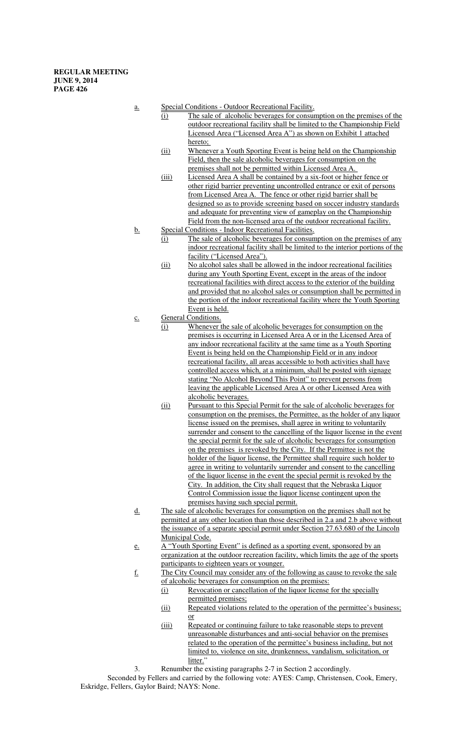- a. Special Conditions Outdoor Recreational Facility.
	- (i) The sale of alcoholic beverages for consumption on the premises of the outdoor recreational facility shall be limited to the Championship Field Licensed Area ("Licensed Area A") as shown on Exhibit 1 attached hereto;
	- (ii) Whenever a Youth Sporting Event is being held on the Championship Field, then the sale alcoholic beverages for consumption on the premises shall not be permitted within Licensed Area A.
	- (iii) Licensed Area A shall be contained by a six-foot or higher fence or other rigid barrier preventing uncontrolled entrance or exit of persons from Licensed Area A. The fence or other rigid barrier shall be designed so as to provide screening based on soccer industry standards and adequate for preventing view of gameplay on the Championship Field from the non-licensed area of the outdoor recreational facility.
- b. Special Conditions Indoor Recreational Facilities.
	- (i) The sale of alcoholic beverages for consumption on the premises of any indoor recreational facility shall be limited to the interior portions of the facility ("Licensed Area").
	- (ii) No alcohol sales shall be allowed in the indoor recreational facilities during any Youth Sporting Event, except in the areas of the indoor recreational facilities with direct access to the exterior of the building and provided that no alcohol sales or consumption shall be permitted in the portion of the indoor recreational facility where the Youth Sporting Event is held.
- c. General Conditions.
	- (i) Whenever the sale of alcoholic beverages for consumption on the premises is occurring in Licensed Area A or in the Licensed Area of any indoor recreational facility at the same time as a Youth Sporting Event is being held on the Championship Field or in any indoor recreational facility, all areas accessible to both activities shall have controlled access which, at a minimum, shall be posted with signage stating "No Alcohol Beyond This Point" to prevent persons from leaving the applicable Licensed Area A or other Licensed Area with alcoholic beverages.
	- (ii) Pursuant to this Special Permit for the sale of alcoholic beverages for consumption on the premises, the Permittee, as the holder of any liquor license issued on the premises, shall agree in writing to voluntarily surrender and consent to the cancelling of the liquor license in the event the special permit for the sale of alcoholic beverages for consumption on the premises is revoked by the City. If the Permittee is not the holder of the liquor license, the Permittee shall require such holder to agree in writing to voluntarily surrender and consent to the cancelling of the liquor license in the event the special permit is revoked by the City. In addition, the City shall request that the Nebraska Liquor Control Commission issue the liquor license contingent upon the premises having such special permit.
- d. The sale of alcoholic beverages for consumption on the premises shall not be permitted at any other location than those described in 2.a and 2.b above without the issuance of a separate special permit under Section 27.63.680 of the Lincoln Municipal Code.
- e. A "Youth Sporting Event" is defined as a sporting event, sponsored by an organization at the outdoor recreation facility, which limits the age of the sports participants to eighteen years or younger.
- f. The City Council may consider any of the following as cause to revoke the sale of alcoholic beverages for consumption on the premises:
	- (i) Revocation or cancellation of the liquor license for the specially permitted premises;
	- (ii) Repeated violations related to the operation of the permittee's business; or
	- (iii) Repeated or continuing failure to take reasonable steps to prevent unreasonable disturbances and anti-social behavior on the premises related to the operation of the permittee's business including, but not limited to, violence on site, drunkenness, vandalism, solicitation, or litter."
- 3. Renumber the existing paragraphs 2-7 in Section 2 accordingly.

Seconded by Fellers and carried by the following vote: AYES: Camp, Christensen, Cook, Emery, Eskridge, Fellers, Gaylor Baird; NAYS: None.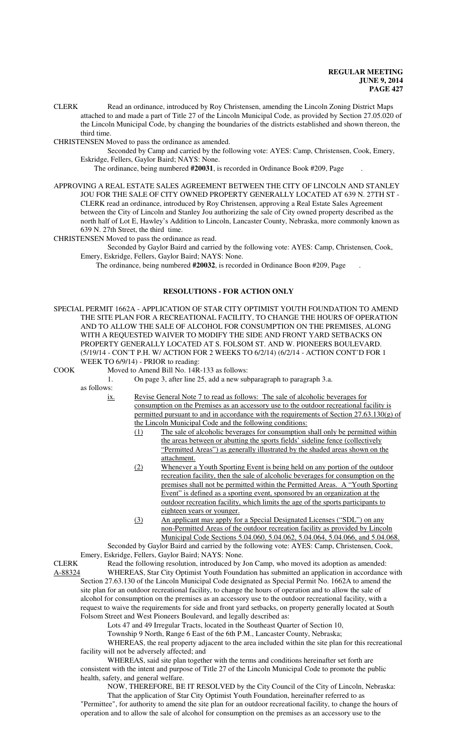CLERK Read an ordinance, introduced by Roy Christensen, amending the Lincoln Zoning District Maps attached to and made a part of Title 27 of the Lincoln Municipal Code, as provided by Section 27.05.020 of the Lincoln Municipal Code, by changing the boundaries of the districts established and shown thereon, the third time.

CHRISTENSEN Moved to pass the ordinance as amended.

Seconded by Camp and carried by the following vote: AYES: Camp, Christensen, Cook, Emery, Eskridge, Fellers, Gaylor Baird; NAYS: None.

The ordinance, being numbered **#20031**, is recorded in Ordinance Book #209, Page .

APPROVING A REAL ESTATE SALES AGREEMENT BETWEEN THE CITY OF LINCOLN AND STANLEY JOU FOR THE SALE OF CITY OWNED PROPERTY GENERALLY LOCATED AT 639 N. 27TH ST - CLERK read an ordinance, introduced by Roy Christensen, approving a Real Estate Sales Agreement between the City of Lincoln and Stanley Jou authorizing the sale of City owned property described as the north half of Lot E, Hawley's Addition to Lincoln, Lancaster County, Nebraska, more commonly known as 639 N. 27th Street, the third time.

CHRISTENSEN Moved to pass the ordinance as read.

Seconded by Gaylor Baird and carried by the following vote: AYES: Camp, Christensen, Cook, Emery, Eskridge, Fellers, Gaylor Baird; NAYS: None.

The ordinance, being numbered **#20032**, is recorded in Ordinance Boon #209, Page .

## **RESOLUTIONS - FOR ACTION ONLY**

SPECIAL PERMIT 1662A - APPLICATION OF STAR CITY OPTIMIST YOUTH FOUNDATION TO AMEND THE SITE PLAN FOR A RECREATIONAL FACILITY, TO CHANGE THE HOURS OF OPERATION AND TO ALLOW THE SALE OF ALCOHOL FOR CONSUMPTION ON THE PREMISES, ALONG WITH A REQUESTED WAIVER TO MODIFY THE SIDE AND FRONT YARD SETBACKS ON PROPERTY GENERALLY LOCATED AT S. FOLSOM ST. AND W. PIONEERS BOULEVARD. (5/19/14 - CON'T P.H. W/ ACTION FOR 2 WEEKS TO 6/2/14) (6/2/14 - ACTION CONT'D FOR 1 WEEK TO 6/9/14) - PRIOR to reading:

COOK Moved to Amend Bill No. 14R-133 as follows:

as follows:

ix. Revise General Note 7 to read as follows: The sale of alcoholic beverages for consumption on the Premises as an accessory use to the outdoor recreational facility is permitted pursuant to and in accordance with the requirements of Section 27.63.130(g) of the Lincoln Municipal Code and the following conditions:

- (1) The sale of alcoholic beverages for consumption shall only be permitted within the areas between or abutting the sports fields' sideline fence (collectively "Permitted Areas") as generally illustrated by the shaded areas shown on the attachment.
- (2) Whenever a Youth Sporting Event is being held on any portion of the outdoor recreation facility, then the sale of alcoholic beverages for consumption on the premises shall not be permitted within the Permitted Areas. A "Youth Sporting Event" is defined as a sporting event, sponsored by an organization at the outdoor recreation facility, which limits the age of the sports participants to eighteen years or younger.
- (3) An applicant may apply for a Special Designated Licenses ("SDL") on any non-Permitted Areas of the outdoor recreation facility as provided by Lincoln Municipal Code Sections 5.04.060, 5.04.062, 5.04.064, 5.04.066, and 5.04.068.

Seconded by Gaylor Baird and carried by the following vote: AYES: Camp, Christensen, Cook, Emery, Eskridge, Fellers, Gaylor Baird; NAYS: None.

CLERK Read the following resolution, introduced by Jon Camp, who moved its adoption as amended:<br>A-88324 WHEREAS, Star City Optimist Youth Foundation has submitted an application in accordance WHEREAS, Star City Optimist Youth Foundation has submitted an application in accordance with Section 27.63.130 of the Lincoln Municipal Code designated as Special Permit No. 1662A to amend the site plan for an outdoor recreational facility, to change the hours of operation and to allow the sale of alcohol for consumption on the premises as an accessory use to the outdoor recreational facility, with a request to waive the requirements for side and front yard setbacks, on property generally located at South Folsom Street and West Pioneers Boulevard, and legally described as:

Lots 47 and 49 Irregular Tracts, located in the Southeast Quarter of Section 10,

Township 9 North, Range 6 East of the 6th P.M., Lancaster County, Nebraska;

WHEREAS, the real property adjacent to the area included within the site plan for this recreational facility will not be adversely affected; and

WHEREAS, said site plan together with the terms and conditions hereinafter set forth are consistent with the intent and purpose of Title 27 of the Lincoln Municipal Code to promote the public health, safety, and general welfare.

NOW, THEREFORE, BE IT RESOLVED by the City Council of the City of Lincoln, Nebraska: That the application of Star City Optimist Youth Foundation, hereinafter referred to as "Permittee", for authority to amend the site plan for an outdoor recreational facility, to change the hours of operation and to allow the sale of alcohol for consumption on the premises as an accessory use to the

<sup>1.</sup> On page 3, after line 25, add a new subparagraph to paragraph 3.a.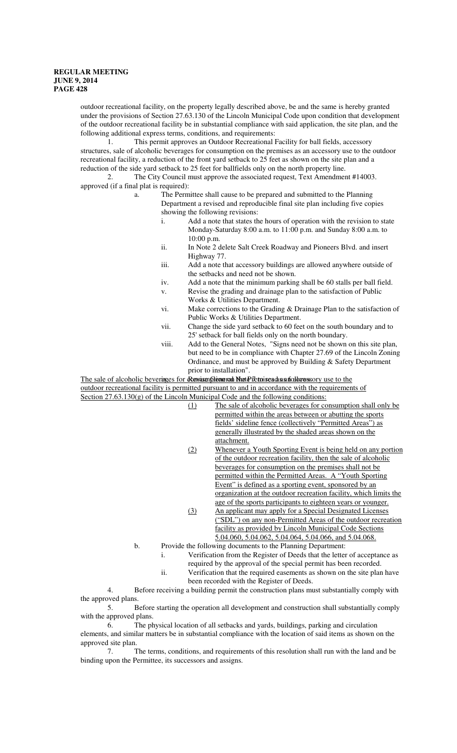outdoor recreational facility, on the property legally described above, be and the same is hereby granted under the provisions of Section 27.63.130 of the Lincoln Municipal Code upon condition that development of the outdoor recreational facility be in substantial compliance with said application, the site plan, and the following additional express terms, conditions, and requirements:

1. This permit approves an Outdoor Recreational Facility for ball fields, accessory structures, sale of alcoholic beverages for consumption on the premises as an accessory use to the outdoor recreational facility, a reduction of the front yard setback to 25 feet as shown on the site plan and a reduction of the side yard setback to 25 feet for ballfields only on the north property line.

2. The City Council must approve the associated request, Text Amendment #14003. approved (if a final plat is required):

- a. The Permittee shall cause to be prepared and submitted to the Planning Department a revised and reproducible final site plan including five copies showing the following revisions:
	- i. Add a note that states the hours of operation with the revision to state Monday-Saturday 8:00 a.m. to 11:00 p.m. and Sunday 8:00 a.m. to 10:00 p.m.
	- ii. In Note 2 delete Salt Creek Roadway and Pioneers Blvd. and insert Highway 77.
	- iii. Add a note that accessory buildings are allowed anywhere outside of the setbacks and need not be shown.
	- iv. Add a note that the minimum parking shall be 60 stalls per ball field. v. Revise the grading and drainage plan to the satisfaction of Public
	- Works & Utilities Department. vi. Make corrections to the Grading & Drainage Plan to the satisfaction of Public Works & Utilities Department.
	- vii. Change the side yard setback to 60 feet on the south boundary and to 25' setback for ball fields only on the north boundary.
	- viii. Add to the General Notes, "Signs need not be shown on this site plan, but need to be in compliance with Chapter 27.69 of the Lincoln Zoning Ordinance, and must be approved by Building & Safety Department prior to installation".

The sale of alcoholic beverages for **Rensism ptions can Mote 7** to read as an accessory use to the outdoor recreational facility is permitted pursuant to and in accordance with the requirements of Section 27.63.130(g) of the Lincoln Municipal Code and the following conditions:

- (1) The sale of alcoholic beverages for consumption shall only be permitted within the areas between or abutting the sports fields' sideline fence (collectively "Permitted Areas") as generally illustrated by the shaded areas shown on the attachment.
- (2) Whenever a Youth Sporting Event is being held on any portion of the outdoor recreation facility, then the sale of alcoholic beverages for consumption on the premises shall not be permitted within the Permitted Areas. A "Youth Sporting Event" is defined as a sporting event, sponsored by an organization at the outdoor recreation facility, which limits the age of the sports participants to eighteen years or younger.
- (3) An applicant may apply for a Special Designated Licenses ("SDL") on any non-Permitted Areas of the outdoor recreation facility as provided by Lincoln Municipal Code Sections 5.04.060, 5.04.062, 5.04.064, 5.04.066, and 5.04.068.
- b. Provide the following documents to the Planning Department:
	- i. Verification from the Register of Deeds that the letter of acceptance as required by the approval of the special permit has been recorded.
	- ii. Verification that the required easements as shown on the site plan have been recorded with the Register of Deeds.

4. Before receiving a building permit the construction plans must substantially comply with the approved plans.

5. Before starting the operation all development and construction shall substantially comply with the approved plans.

6. The physical location of all setbacks and yards, buildings, parking and circulation elements, and similar matters be in substantial compliance with the location of said items as shown on the approved site plan.

7. The terms, conditions, and requirements of this resolution shall run with the land and be binding upon the Permittee, its successors and assigns.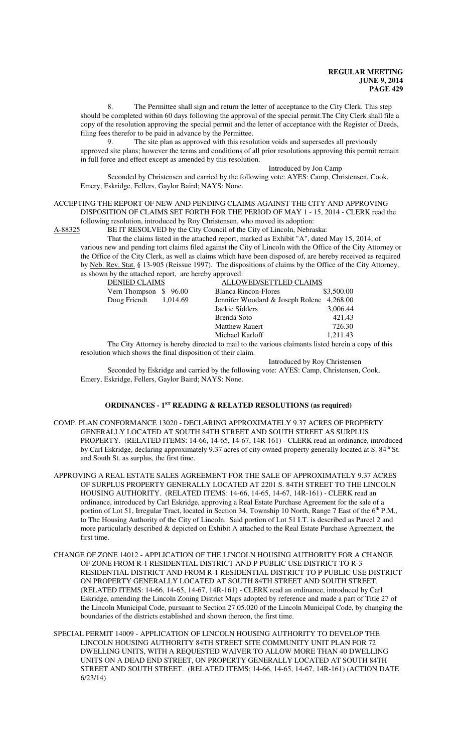8. The Permittee shall sign and return the letter of acceptance to the City Clerk. This step should be completed within 60 days following the approval of the special permit.The City Clerk shall file a copy of the resolution approving the special permit and the letter of acceptance with the Register of Deeds, filing fees therefor to be paid in advance by the Permittee.

9. The site plan as approved with this resolution voids and supersedes all previously approved site plans; however the terms and conditions of all prior resolutions approving this permit remain in full force and effect except as amended by this resolution.

Introduced by Jon Camp

Seconded by Christensen and carried by the following vote: AYES: Camp, Christensen, Cook, Emery, Eskridge, Fellers, Gaylor Baird; NAYS: None.

#### ACCEPTING THE REPORT OF NEW AND PENDING CLAIMS AGAINST THE CITY AND APPROVING DISPOSITION OF CLAIMS SET FORTH FOR THE PERIOD OF MAY 1 - 15, 2014 - CLERK read the following resolution, introduced by Roy Christensen, who moved its adoption:

A-88325 BE IT RESOLVED by the City Council of the City of Lincoln, Nebraska:

That the claims listed in the attached report, marked as Exhibit "A", dated May 15, 2014, of various new and pending tort claims filed against the City of Lincoln with the Office of the City Attorney or the Office of the City Clerk, as well as claims which have been disposed of, are hereby received as required by Neb. Rev. Stat. § 13-905 (Reissue 1997). The dispositions of claims by the Office of the City Attorney, as shown by the attached report, are hereby approved:

| <b>DENIED CLAIMS</b>    | ALLOWED/SETTLED CLAIMS                    |            |
|-------------------------|-------------------------------------------|------------|
| Vern Thompson \$96.00   | Blanca Rincon-Flores                      | \$3,500.00 |
| Doug Friendt $1,014.69$ | Jennifer Woodard & Joseph Rolenc 4,268.00 |            |
|                         | Jackie Sidders                            | 3,006.44   |
|                         | Brenda Soto                               | 421.43     |
|                         | <b>Matthew Rauert</b>                     | 726.30     |
|                         | Michael Karloff                           | 1,211.43   |

The City Attorney is hereby directed to mail to the various claimants listed herein a copy of this resolution which shows the final disposition of their claim.

Introduced by Roy Christensen

Seconded by Eskridge and carried by the following vote: AYES: Camp, Christensen, Cook, Emery, Eskridge, Fellers, Gaylor Baird; NAYS: None.

# **ORDINANCES - 1ST READING & RELATED RESOLUTIONS (as required)**

- COMP. PLAN CONFORMANCE 13020 DECLARING APPROXIMATELY 9.37 ACRES OF PROPERTY GENERALLY LOCATED AT SOUTH 84TH STREET AND SOUTH STREET AS SURPLUS PROPERTY. (RELATED ITEMS: 14-66, 14-65, 14-67, 14R-161) - CLERK read an ordinance, introduced by Carl Eskridge, declaring approximately 9.37 acres of city owned property generally located at S. 84<sup>th</sup> St. and South St. as surplus, the first time.
- APPROVING A REAL ESTATE SALES AGREEMENT FOR THE SALE OF APPROXIMATELY 9.37 ACRES OF SURPLUS PROPERTY GENERALLY LOCATED AT 2201 S. 84TH STREET TO THE LINCOLN HOUSING AUTHORITY. (RELATED ITEMS: 14-66, 14-65, 14-67, 14R-161) - CLERK read an ordinance, introduced by Carl Eskridge, approving a Real Estate Purchase Agreement for the sale of a portion of Lot 51, Irregular Tract, located in Section 34, Township 10 North, Range 7 East of the 6<sup>th</sup> P.M., to The Housing Authority of the City of Lincoln. Said portion of Lot 51 I.T. is described as Parcel 2 and more particularly described & depicted on Exhibit A attached to the Real Estate Purchase Agreement, the first time.
- CHANGE OF ZONE 14012 APPLICATION OF THE LINCOLN HOUSING AUTHORITY FOR A CHANGE OF ZONE FROM R-1 RESIDENTIAL DISTRICT AND P PUBLIC USE DISTRICT TO R-3 RESIDENTIAL DISTRICT AND FROM R-1 RESIDENTIAL DISTRICT TO P PUBLIC USE DISTRICT ON PROPERTY GENERALLY LOCATED AT SOUTH 84TH STREET AND SOUTH STREET. (RELATED ITEMS: 14-66, 14-65, 14-67, 14R-161) - CLERK read an ordinance, introduced by Carl Eskridge, amending the Lincoln Zoning District Maps adopted by reference and made a part of Title 27 of the Lincoln Municipal Code, pursuant to Section 27.05.020 of the Lincoln Municipal Code, by changing the boundaries of the districts established and shown thereon, the first time.
- SPECIAL PERMIT 14009 APPLICATION OF LINCOLN HOUSING AUTHORITY TO DEVELOP THE LINCOLN HOUSING AUTHORITY 84TH STREET SITE COMMUNITY UNIT PLAN FOR 72 DWELLING UNITS, WITH A REQUESTED WAIVER TO ALLOW MORE THAN 40 DWELLING UNITS ON A DEAD END STREET, ON PROPERTY GENERALLY LOCATED AT SOUTH 84TH STREET AND SOUTH STREET. (RELATED ITEMS: 14-66, 14-65, 14-67, 14R-161) (ACTION DATE 6/23/14)